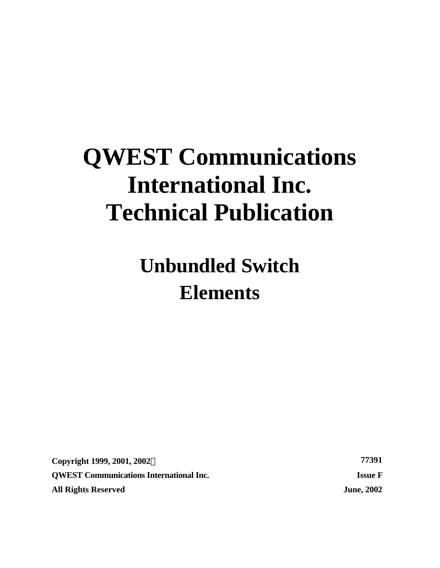# **QWEST Communications International Inc. Technical Publication**

**Unbundled Switch Elements**

**Copyright 1999, 2001, 2002Ó 77391 QWEST Communications International Inc. Issue F All Rights Reserved June, 2002**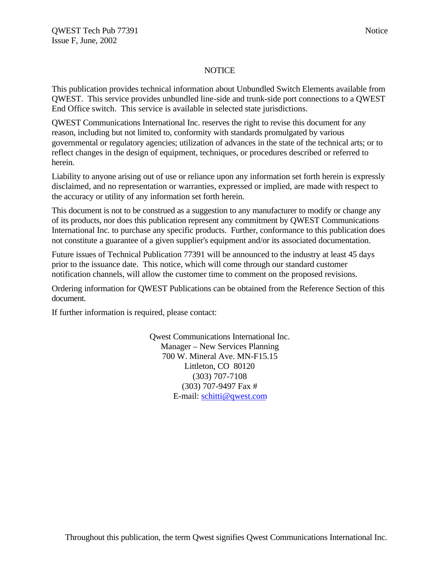### **NOTICE**

This publication provides technical information about Unbundled Switch Elements available from QWEST. This service provides unbundled line-side and trunk-side port connections to a QWEST End Office switch. This service is available in selected state jurisdictions.

QWEST Communications International Inc. reserves the right to revise this document for any reason, including but not limited to, conformity with standards promulgated by various governmental or regulatory agencies; utilization of advances in the state of the technical arts; or to reflect changes in the design of equipment, techniques, or procedures described or referred to herein.

Liability to anyone arising out of use or reliance upon any information set forth herein is expressly disclaimed, and no representation or warranties, expressed or implied, are made with respect to the accuracy or utility of any information set forth herein.

This document is not to be construed as a suggestion to any manufacturer to modify or change any of its products, nor does this publication represent any commitment by QWEST Communications International Inc. to purchase any specific products. Further, conformance to this publication does not constitute a guarantee of a given supplier's equipment and/or its associated documentation.

Future issues of Technical Publication 77391 will be announced to the industry at least 45 days prior to the issuance date. This notice, which will come through our standard customer notification channels, will allow the customer time to comment on the proposed revisions.

Ordering information for QWEST Publications can be obtained from the Reference Section of this document.

If further information is required, please contact:

Qwest Communications International Inc. Manager – New Services Planning 700 W. Mineral Ave. MN-F15.15 Littleton, CO 80120 (303) 707-7108 (303) 707-9497 Fax # E-mail: schitti@qwest.com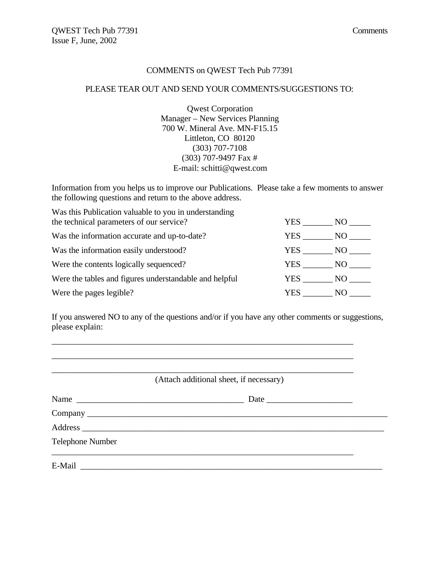#### COMMENTS on QWEST Tech Pub 77391

#### PLEASE TEAR OUT AND SEND YOUR COMMENTS/SUGGESTIONS TO:

Qwest Corporation Manager – New Services Planning 700 W. Mineral Ave. MN-F15.15 Littleton, CO 80120 (303) 707-7108 (303) 707-9497 Fax # E-mail: schitti@qwest.com

Information from you helps us to improve our Publications. Please take a few moments to answer the following questions and return to the above address.

Was this Publication valuable to you in understanding the technical parameters of our service? YES \_\_\_\_\_\_\_ NO \_\_\_\_\_\_ Was the information accurate and up-to-date? YES \_\_\_\_\_\_\_ NO \_\_\_\_\_\_ Was the information easily understood? YES NO Were the contents logically sequenced? YES \_\_\_\_\_\_\_ NO \_\_\_\_\_ Were the tables and figures understandable and helpful YES \_\_\_\_\_\_\_\_ NO \_\_\_\_\_\_\_ Were the pages legible? YES NO

If you answered NO to any of the questions and/or if you have any other comments or suggestions, please explain:

\_\_\_\_\_\_\_\_\_\_\_\_\_\_\_\_\_\_\_\_\_\_\_\_\_\_\_\_\_\_\_\_\_\_\_\_\_\_\_\_\_\_\_\_\_\_\_\_\_\_\_\_\_\_\_\_\_\_\_\_\_\_\_\_\_\_\_\_\_\_ \_\_\_\_\_\_\_\_\_\_\_\_\_\_\_\_\_\_\_\_\_\_\_\_\_\_\_\_\_\_\_\_\_\_\_\_\_\_\_\_\_\_\_\_\_\_\_\_\_\_\_\_\_\_\_\_\_\_\_\_\_\_\_\_\_\_\_\_\_\_ \_\_\_\_\_\_\_\_\_\_\_\_\_\_\_\_\_\_\_\_\_\_\_\_\_\_\_\_\_\_\_\_\_\_\_\_\_\_\_\_\_\_\_\_\_\_\_\_\_\_\_\_\_\_\_\_\_\_\_\_\_\_\_\_\_\_\_\_\_\_

(Attach additional sheet, if necessary)

| Name                    |  |
|-------------------------|--|
|                         |  |
|                         |  |
| <b>Telephone Number</b> |  |
|                         |  |
| E-Mail                  |  |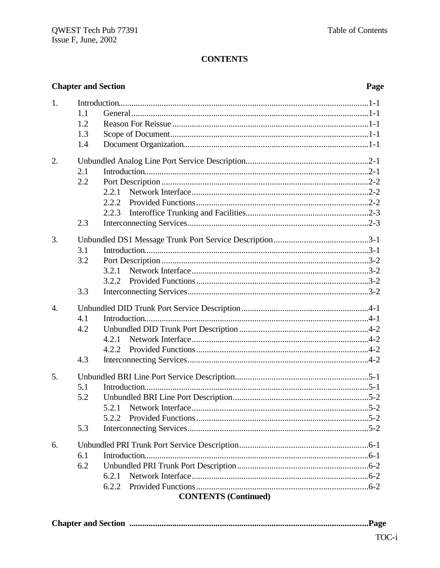|                  | <b>Chapter and Section</b>                                  | Page |
|------------------|-------------------------------------------------------------|------|
| 1.               | 1.1<br>1.2<br>1.3<br>1.4                                    |      |
| 2.               | 2.1<br>2.2<br>2.2.1<br>2.2.2<br>2.2.3<br>2.3                |      |
| 3.               | 3.1<br>3.2<br>3.2.1<br>3.2.2<br>3.3                         |      |
| $\overline{4}$ . | 4.1<br>4.2<br>4.2.1<br>4.2.2<br>4.3                         |      |
| 5.               | 5.1<br>5.2<br>5.2.1<br>5.2.2<br>5.3                         |      |
| 6.               | 6.1<br>6.2<br>6.2.1<br>6.2.2<br><b>CONTENTS (Continued)</b> |      |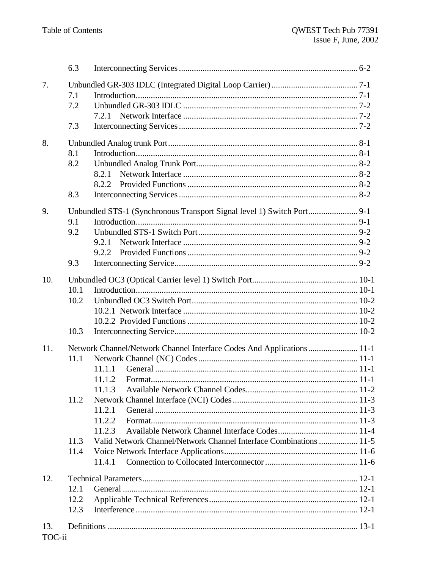|        | 6.3  |                                                                        |  |
|--------|------|------------------------------------------------------------------------|--|
| 7.     |      |                                                                        |  |
|        | 7.1  |                                                                        |  |
|        | 7.2  |                                                                        |  |
|        |      | 7.2.1                                                                  |  |
|        | 7.3  |                                                                        |  |
| 8.     |      |                                                                        |  |
|        | 8.1  |                                                                        |  |
|        | 8.2  |                                                                        |  |
|        |      | 8.2.1                                                                  |  |
|        |      | 8.2.2                                                                  |  |
|        | 8.3  |                                                                        |  |
| 9.     |      | Unbundled STS-1 (Synchronous Transport Signal level 1) Switch Port 9-1 |  |
|        | 9.1  |                                                                        |  |
|        | 9.2  |                                                                        |  |
|        |      | 9.2.1                                                                  |  |
|        |      | 9.2.2                                                                  |  |
|        | 9.3  |                                                                        |  |
| 10.    |      |                                                                        |  |
|        | 10.1 |                                                                        |  |
|        | 10.2 |                                                                        |  |
|        |      |                                                                        |  |
|        |      |                                                                        |  |
|        | 10.3 |                                                                        |  |
| 11.    |      | Network Channel/Network Channel Interface Codes And Applications 11-1  |  |
|        | 11.1 |                                                                        |  |
|        |      | 11.1.1                                                                 |  |
|        |      | 11.1.2                                                                 |  |
|        |      | 11.1.3                                                                 |  |
|        | 11.2 |                                                                        |  |
|        |      | 11.2.1                                                                 |  |
|        |      | 11.2.2                                                                 |  |
|        |      | 11.2.3                                                                 |  |
|        | 11.3 | Valid Network Channel/Network Channel Interface Combinations  11-5     |  |
|        | 11.4 |                                                                        |  |
|        |      | 11.4.1                                                                 |  |
| 12.    |      |                                                                        |  |
|        | 12.1 |                                                                        |  |
|        | 12.2 |                                                                        |  |
|        | 12.3 |                                                                        |  |
| 13.    |      |                                                                        |  |
| TOC-ii |      |                                                                        |  |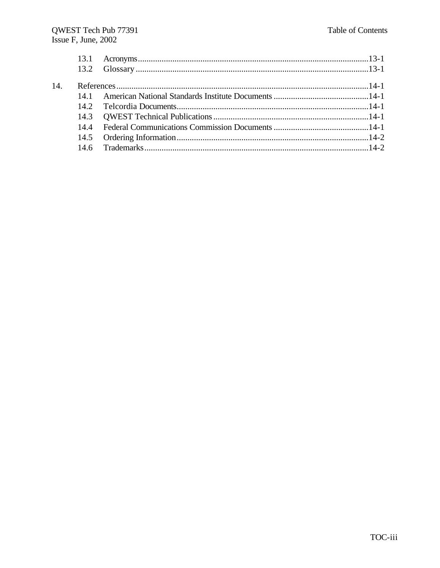| 14. |  |  |
|-----|--|--|
|     |  |  |
|     |  |  |
|     |  |  |
|     |  |  |
|     |  |  |
|     |  |  |
|     |  |  |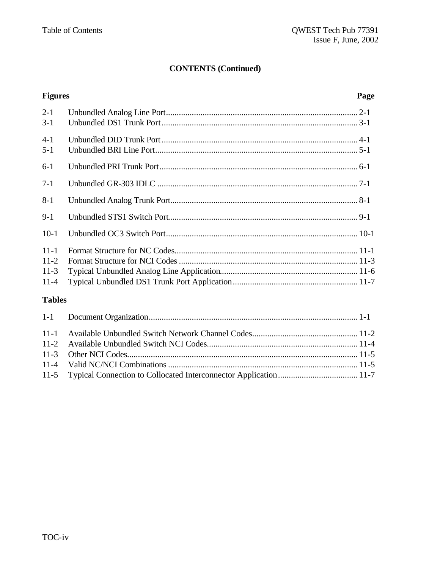### **CONTENTS (Continued)**

## **Figures Page** 2-1 Unbundled Analog Line Port......................................................................................... 2-1 3-1 Unbundled DS1 Trunk Port........................................................................................... 3-1 4-1 Unbundled DID Trunk Port........................................................................................... 4-1 5-1 Unbundled BRI Line Port.............................................................................................. 5-1 6-1 Unbundled PRI Trunk Port............................................................................................ 6-1 7-1 Unbundled GR-303 IDLC ............................................................................................. 7-1 8-1 Unbundled Analog Trunk Port....................................................................................... 8-1 9-1 Unbundled STS1 Switch Port........................................................................................ 9-1 10-1 Unbundled OC3 Switch Port......................................................................................... 10-1 11-1 Format Structure for NC Codes..................................................................................... 11-1 11-2 Format Structure for NCI Codes................................................................................... 11-3 11-3 Typical Unbundled Analog Line Application................................................................ 11-6 11-4 Typical Unbundled DS1 Trunk Port Application.......................................................... 11-7 **Tables** 1-1 Document Organization................................................................................................. 1-1 11-1 Available Unbundled Switch Network Channel Codes................................................. 11-2 11-2 Available Unbundled Switch NCI Codes...................................................................... 11-4 11-3 Other NCI Codes........................................................................................................... 11-5

11-4 Valid NC/NCI Combinations........................................................................................ 11-5 11-5 Typical Connection to Collocated Interconnector Application..................................... 11-7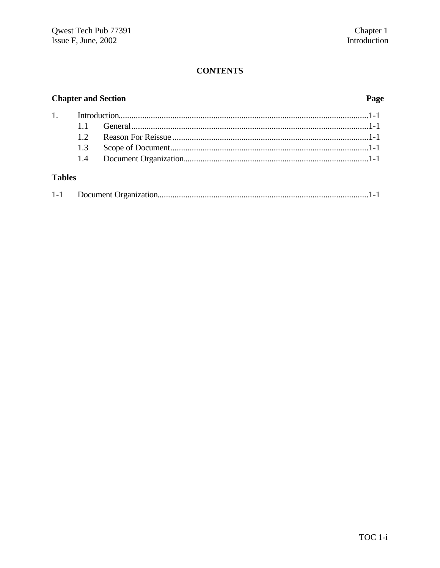## **Chapter and Section**

### Page

### **Tables**

|--|--|--|--|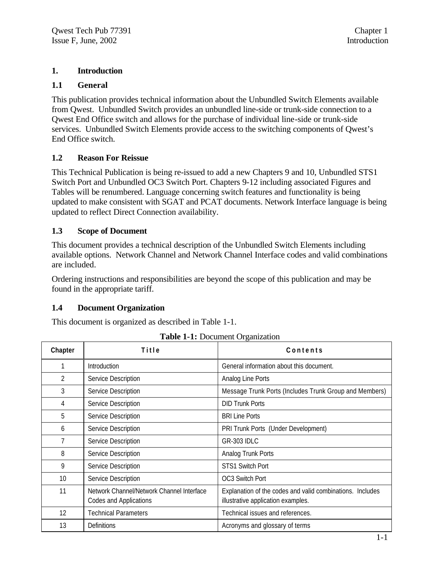### **1. Introduction**

### **1.1 General**

This publication provides technical information about the Unbundled Switch Elements available from Qwest. Unbundled Switch provides an unbundled line-side or trunk-side connection to a Qwest End Office switch and allows for the purchase of individual line-side or trunk-side services. Unbundled Switch Elements provide access to the switching components of Qwest's End Office switch.

### **1.2 Reason For Reissue**

This Technical Publication is being re-issued to add a new Chapters 9 and 10, Unbundled STS1 Switch Port and Unbundled OC3 Switch Port. Chapters 9-12 including associated Figures and Tables will be renumbered. Language concerning switch features and functionality is being updated to make consistent with SGAT and PCAT documents. Network Interface language is being updated to reflect Direct Connection availability.

### **1.3 Scope of Document**

This document provides a technical description of the Unbundled Switch Elements including available options. Network Channel and Network Channel Interface codes and valid combinations are included.

Ordering instructions and responsibilities are beyond the scope of this publication and may be found in the appropriate tariff.

### **1.4 Document Organization**

This document is organized as described in Table 1-1.

| Chapter | Title                                                               | Contents                                                                                        |
|---------|---------------------------------------------------------------------|-------------------------------------------------------------------------------------------------|
|         | Introduction                                                        | General information about this document.                                                        |
| 2       | Service Description                                                 | Analog Line Ports                                                                               |
| 3       | Service Description                                                 | Message Trunk Ports (Includes Trunk Group and Members)                                          |
| 4       | Service Description                                                 | <b>DID Trunk Ports</b>                                                                          |
| 5       | Service Description                                                 | <b>BRI Line Ports</b>                                                                           |
| 6       | Service Description                                                 | PRI Trunk Ports (Under Development)                                                             |
| 7       | Service Description                                                 | <b>GR-303 IDLC</b>                                                                              |
| 8       | Service Description                                                 | Analog Trunk Ports                                                                              |
| 9       | Service Description                                                 | <b>STS1 Switch Port</b>                                                                         |
| 10      | Service Description                                                 | OC3 Switch Port                                                                                 |
| 11      | Network Channel/Network Channel Interface<br>Codes and Applications | Explanation of the codes and valid combinations. Includes<br>illustrative application examples. |
| 12      | <b>Technical Parameters</b>                                         | Technical issues and references.                                                                |
| 13      | <b>Definitions</b>                                                  | Acronyms and glossary of terms                                                                  |

**Table 1-1:** Document Organization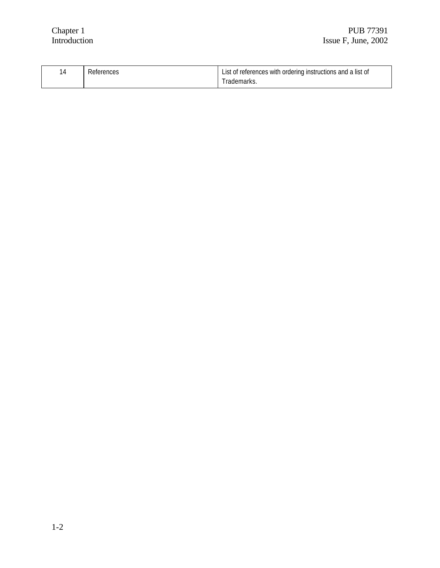|  | References | List of references with ordering instructions and a list of |
|--|------------|-------------------------------------------------------------|
|  |            | Trademarks                                                  |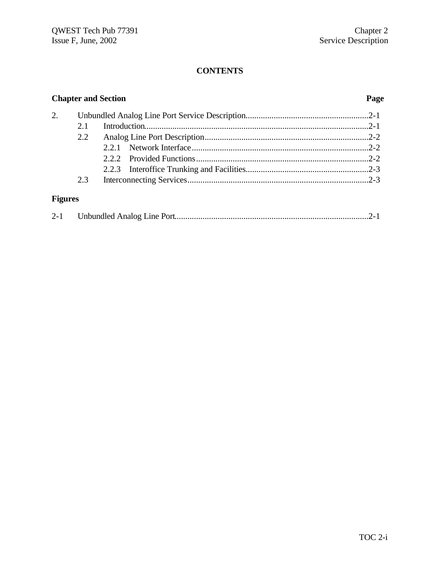## **Chapter and Section Page** 2. Unbundled Analog Line Port Service Description.........................................................2-1 2.1 Introduction........................................................................................................2-1 2.2 Analog Line Port Description............................................................................2-2 2.2.1 Network Interface..................................................................................2-2 2.2.2 Provided Functions................................................................................2-2 2.2.3 Interoffice Trunking and Facilities.........................................................2-3 2.3 Interconnecting Services....................................................................................2-3 **Figures**

| $2 - 1$ |  |  |
|---------|--|--|
|         |  |  |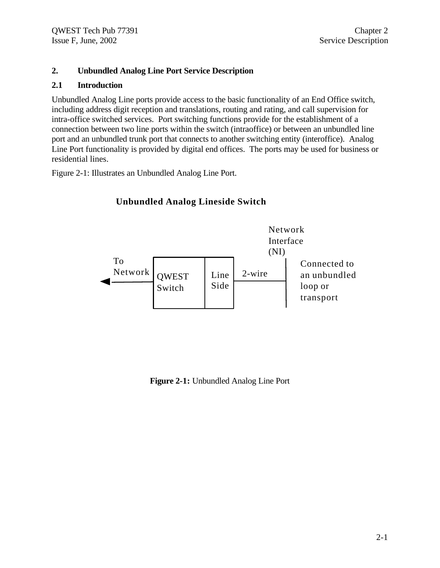### **2. Unbundled Analog Line Port Service Description**

### **2.1 Introduction**

Unbundled Analog Line ports provide access to the basic functionality of an End Office switch, including address digit reception and translations, routing and rating, and call supervision for intra-office switched services. Port switching functions provide for the establishment of a connection between two line ports within the switch (intraoffice) or between an unbundled line port and an unbundled trunk port that connects to another switching entity (interoffice). Analog Line Port functionality is provided by digital end offices. The ports may be used for business or residential lines.

Figure 2-1: Illustrates an Unbundled Analog Line Port.

#### QWEST Switch Line Side Network Interface (NI) 2-wire To Network Connected to an unbundled loop or transport

### **Unbundled Analog Lineside Switch**

**Figure 2-1:** Unbundled Analog Line Port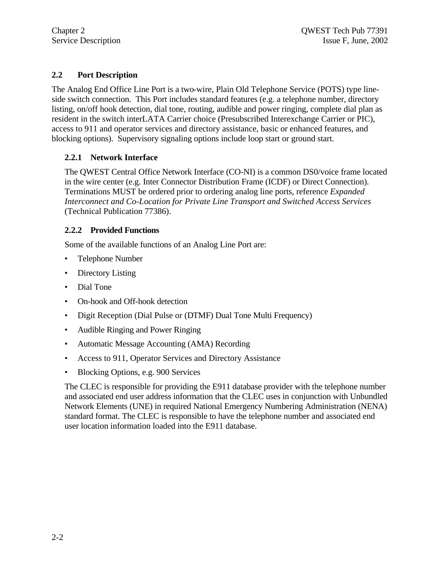### **2.2 Port Description**

The Analog End Office Line Port is a two-wire, Plain Old Telephone Service (POTS) type lineside switch connection. This Port includes standard features (e.g. a telephone number, directory listing, on/off hook detection, dial tone, routing, audible and power ringing, complete dial plan as resident in the switch interLATA Carrier choice (Presubscribed Interexchange Carrier or PIC), access to 911 and operator services and directory assistance, basic or enhanced features, and blocking options). Supervisory signaling options include loop start or ground start.

### **2.2.1 Network Interface**

The QWEST Central Office Network Interface (CO-NI) is a common DS0/voice frame located in the wire center (e.g. Inter Connector Distribution Frame (ICDF) or Direct Connection). Terminations MUST be ordered prior to ordering analog line ports, reference *Expanded Interconnect and Co-Location for Private Line Transport and Switched Access Services* (Technical Publication 77386).

### **2.2.2 Provided Functions**

Some of the available functions of an Analog Line Port are:

- Telephone Number
- Directory Listing
- Dial Tone
- On-hook and Off-hook detection
- Digit Reception (Dial Pulse or (DTMF) Dual Tone Multi Frequency)
- Audible Ringing and Power Ringing
- Automatic Message Accounting (AMA) Recording
- Access to 911, Operator Services and Directory Assistance
- Blocking Options, e.g. 900 Services

The CLEC is responsible for providing the E911 database provider with the telephone number and associated end user address information that the CLEC uses in conjunction with Unbundled Network Elements (UNE) in required National Emergency Numbering Administration (NENA) standard format. The CLEC is responsible to have the telephone number and associated end user location information loaded into the E911 database.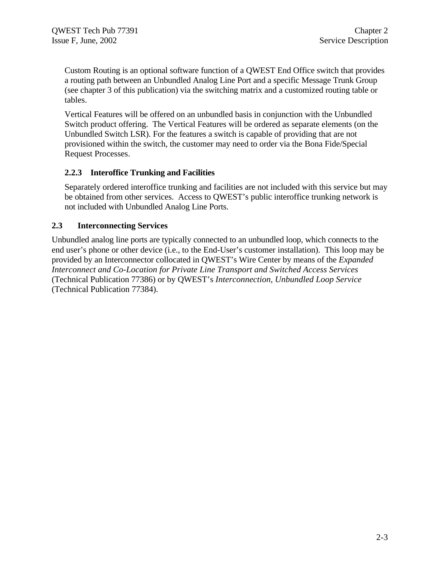Custom Routing is an optional software function of a QWEST End Office switch that provides a routing path between an Unbundled Analog Line Port and a specific Message Trunk Group (see chapter 3 of this publication) via the switching matrix and a customized routing table or tables.

Vertical Features will be offered on an unbundled basis in conjunction with the Unbundled Switch product offering. The Vertical Features will be ordered as separate elements (on the Unbundled Switch LSR). For the features a switch is capable of providing that are not provisioned within the switch, the customer may need to order via the Bona Fide/Special Request Processes.

### **2.2.3 Interoffice Trunking and Facilities**

Separately ordered interoffice trunking and facilities are not included with this service but may be obtained from other services. Access to QWEST's public interoffice trunking network is not included with Unbundled Analog Line Ports.

### **2.3 Interconnecting Services**

Unbundled analog line ports are typically connected to an unbundled loop, which connects to the end user's phone or other device (i.e., to the End-User's customer installation). This loop may be provided by an Interconnector collocated in QWEST's Wire Center by means of the *Expanded Interconnect and Co-Location for Private Line Transport and Switched Access Services* (Technical Publication 77386) or by QWEST's *Interconnection, Unbundled Loop Service* (Technical Publication 77384).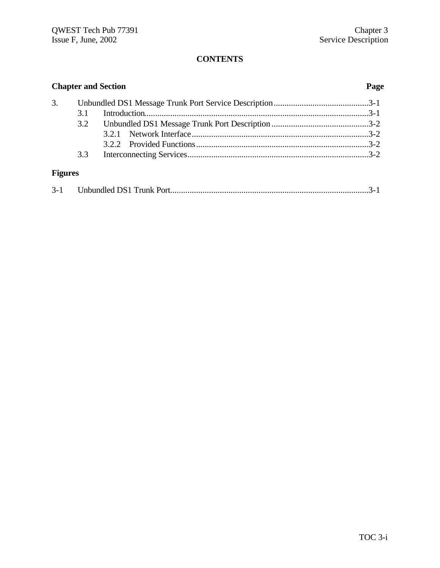| <b>Chapter and Section</b> |     | Page |  |
|----------------------------|-----|------|--|
| 3.                         | 3.1 |      |  |
|                            | 3.2 |      |  |
|                            |     |      |  |
| <b>Figures</b>             | 3.3 |      |  |
|                            |     |      |  |

| $3 - 1$ |  |  |
|---------|--|--|
|---------|--|--|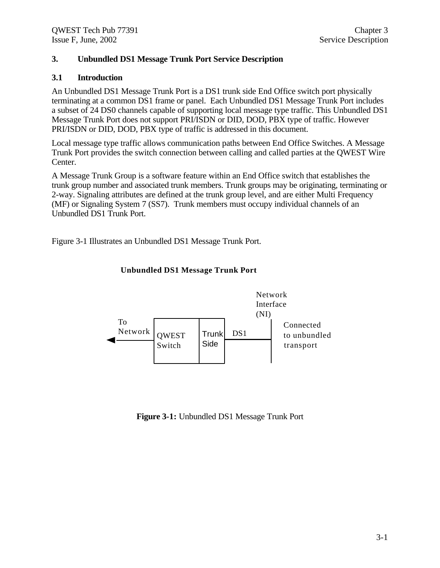### **3. Unbundled DS1 Message Trunk Port Service Description**

### **3.1 Introduction**

An Unbundled DS1 Message Trunk Port is a DS1 trunk side End Office switch port physically terminating at a common DS1 frame or panel. Each Unbundled DS1 Message Trunk Port includes a subset of 24 DS0 channels capable of supporting local message type traffic. This Unbundled DS1 Message Trunk Port does not support PRI/ISDN or DID, DOD, PBX type of traffic. However PRI/ISDN or DID, DOD, PBX type of traffic is addressed in this document.

Local message type traffic allows communication paths between End Office Switches. A Message Trunk Port provides the switch connection between calling and called parties at the QWEST Wire Center.

A Message Trunk Group is a software feature within an End Office switch that establishes the trunk group number and associated trunk members. Trunk groups may be originating, terminating or 2-way. Signaling attributes are defined at the trunk group level, and are either Multi Frequency (MF) or Signaling System 7 (SS7). Trunk members must occupy individual channels of an Unbundled DS1 Trunk Port.

Figure 3-1 Illustrates an Unbundled DS1 Message Trunk Port.



### **Unbundled DS1 Message Trunk Port**

**Figure 3-1:** Unbundled DS1 Message Trunk Port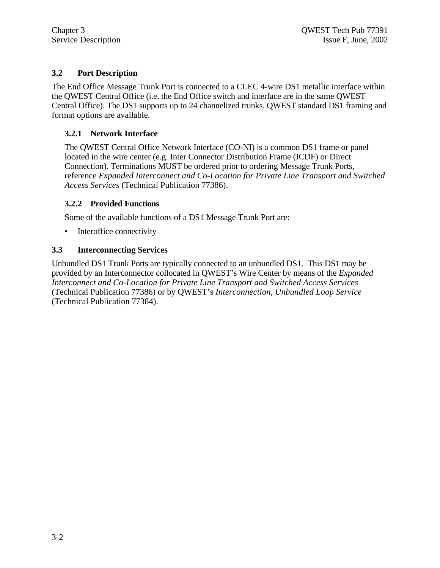### **3.2 Port Description**

The End Office Message Trunk Port is connected to a CLEC 4-wire DS1 metallic interface within the QWEST Central Office (i.e. the End Office switch and interface are in the same QWEST Central Office). The DS1 supports up to 24 channelized trunks. QWEST standard DS1 framing and format options are available.

### **3.2.1 Network Interface**

The QWEST Central Office Network Interface (CO-NI) is a common DS1 frame or panel located in the wire center (e.g. Inter Connector Distribution Frame (ICDF) or Direct Connection). Terminations MUST be ordered prior to ordering Message Trunk Ports, reference *Expanded Interconnect and Co-Location for Private Line Transport and Switched Access Services* (Technical Publication 77386).

### **3.2.2 Provided Functions**

Some of the available functions of a DS1 Message Trunk Port are:

• Interoffice connectivity

### **3.3 Interconnecting Services**

Unbundled DS1 Trunk Ports are typically connected to an unbundled DS1. This DS1 may be provided by an Interconnector collocated in QWEST's Wire Center by means of the *Expanded Interconnect and Co-Location for Private Line Transport and Switched Access Services* (Technical Publication 77386) or by QWEST's *Interconnection, Unbundled Loop Service* (Technical Publication 77384).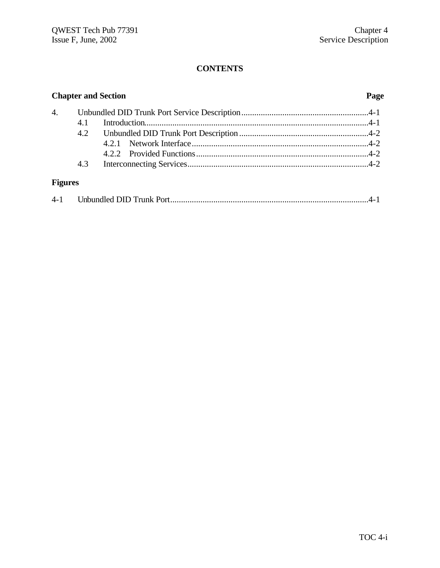| <b>Chapter and Section</b> |     |  | Page |
|----------------------------|-----|--|------|
| 4.                         |     |  |      |
|                            | 4.1 |  |      |
|                            |     |  |      |
|                            |     |  |      |
|                            |     |  |      |
|                            | 4.3 |  |      |
| <b>Figures</b>             |     |  |      |

| $4 - 1$ |  |  |  |
|---------|--|--|--|
|---------|--|--|--|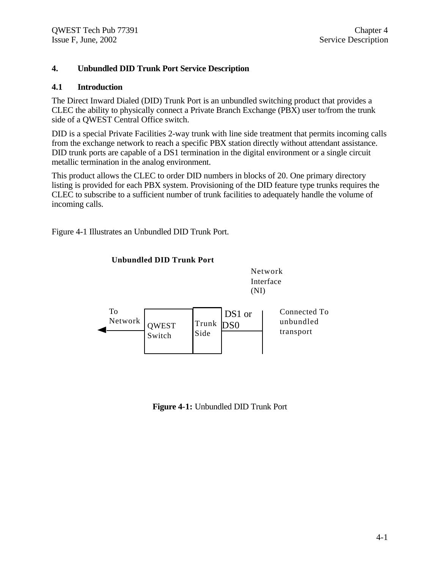### **4. Unbundled DID Trunk Port Service Description**

### **4.1 Introduction**

The Direct Inward Dialed (DID) Trunk Port is an unbundled switching product that provides a CLEC the ability to physically connect a Private Branch Exchange (PBX) user to/from the trunk side of a QWEST Central Office switch.

DID is a special Private Facilities 2-way trunk with line side treatment that permits incoming calls from the exchange network to reach a specific PBX station directly without attendant assistance. DID trunk ports are capable of a DS1 termination in the digital environment or a single circuit metallic termination in the analog environment.

This product allows the CLEC to order DID numbers in blocks of 20. One primary directory listing is provided for each PBX system. Provisioning of the DID feature type trunks requires the CLEC to subscribe to a sufficient number of trunk facilities to adequately handle the volume of incoming calls.

Figure 4-1 Illustrates an Unbundled DID Trunk Port.



**Unbundled DID Trunk Port**

**Figure 4-1:** Unbundled DID Trunk Port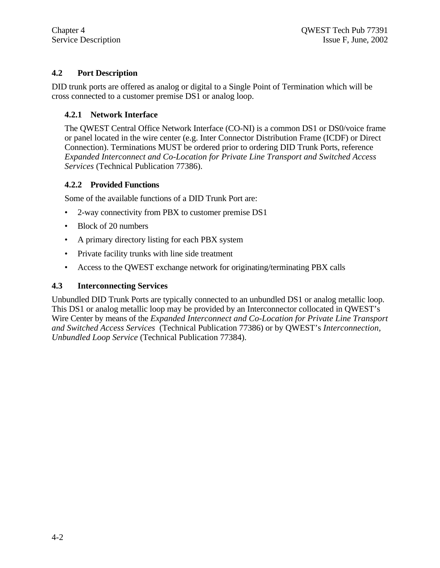### **4.2 Port Description**

DID trunk ports are offered as analog or digital to a Single Point of Termination which will be cross connected to a customer premise DS1 or analog loop.

### **4.2.1 Network Interface**

The QWEST Central Office Network Interface (CO-NI) is a common DS1 or DS0/voice frame or panel located in the wire center (e.g. Inter Connector Distribution Frame (ICDF) or Direct Connection). Terminations MUST be ordered prior to ordering DID Trunk Ports, reference *Expanded Interconnect and Co-Location for Private Line Transport and Switched Access Services* (Technical Publication 77386).

### **4.2.2 Provided Functions**

Some of the available functions of a DID Trunk Port are:

- 2-way connectivity from PBX to customer premise DS1
- Block of 20 numbers
- A primary directory listing for each PBX system
- Private facility trunks with line side treatment
- Access to the QWEST exchange network for originating/terminating PBX calls

### **4.3 Interconnecting Services**

Unbundled DID Trunk Ports are typically connected to an unbundled DS1 or analog metallic loop. This DS1 or analog metallic loop may be provided by an Interconnector collocated in QWEST's Wire Center by means of the *Expanded Interconnect and Co-Location for Private Line Transport and Switched Access Services* (Technical Publication 77386) or by QWEST's *Interconnection, Unbundled Loop Service* (Technical Publication 77384).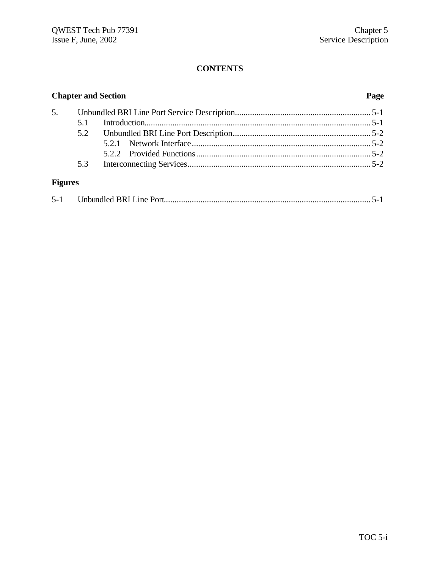| <b>Chapter and Section</b> |     |  | Page |
|----------------------------|-----|--|------|
|                            |     |  |      |
|                            |     |  |      |
|                            |     |  |      |
|                            |     |  |      |
|                            |     |  |      |
|                            | 5.3 |  |      |
| <b>Figures</b>             |     |  |      |

| $5 - 1$ |  |  |  |
|---------|--|--|--|
|---------|--|--|--|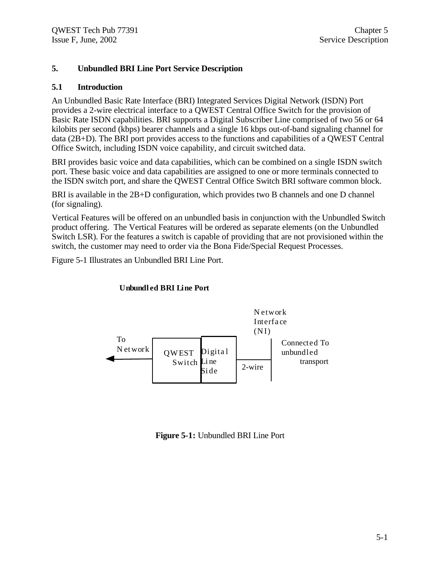### **5. Unbundled BRI Line Port Service Description**

### **5.1 Introduction**

An Unbundled Basic Rate Interface (BRI) Integrated Services Digital Network (ISDN) Port provides a 2-wire electrical interface to a QWEST Central Office Switch for the provision of Basic Rate ISDN capabilities. BRI supports a Digital Subscriber Line comprised of two 56 or 64 kilobits per second (kbps) bearer channels and a single 16 kbps out-of-band signaling channel for data (2B+D). The BRI port provides access to the functions and capabilities of a QWEST Central Office Switch, including ISDN voice capability, and circuit switched data.

BRI provides basic voice and data capabilities, which can be combined on a single ISDN switch port. These basic voice and data capabilities are assigned to one or more terminals connected to the ISDN switch port, and share the QWEST Central Office Switch BRI software common block.

BRI is available in the 2B+D configuration, which provides two B channels and one D channel (for signaling).

Vertical Features will be offered on an unbundled basis in conjunction with the Unbundled Switch product offering. The Vertical Features will be ordered as separate elements (on the Unbundled Switch LSR). For the features a switch is capable of providing that are not provisioned within the switch, the customer may need to order via the Bona Fide/Special Request Processes.

Figure 5-1 Illustrates an Unbundled BRI Line Port.



### **Unbundl ed BRI Line Port**

### **Figure 5-1:** Unbundled BRI Line Port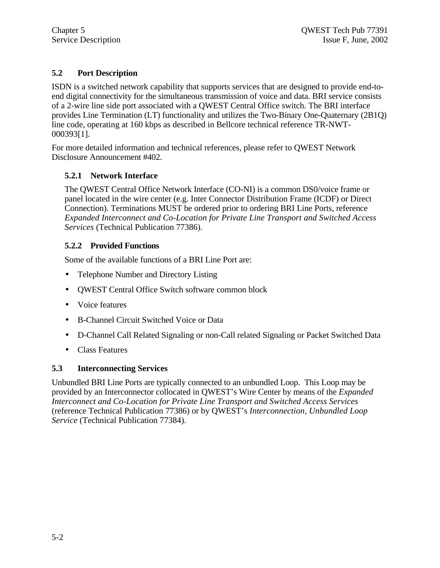### **5.2 Port Description**

ISDN is a switched network capability that supports services that are designed to provide end-toend digital connectivity for the simultaneous transmission of voice and data. BRI service consists of a 2-wire line side port associated with a QWEST Central Office switch. The BRI interface provides Line Termination (LT) functionality and utilizes the Two-Binary One-Quaternary (2B1Q) line code, operating at 160 kbps as described in Bellcore technical reference TR-NWT-000393[1].

For more detailed information and technical references, please refer to QWEST Network Disclosure Announcement #402.

### **5.2.1 Network Interface**

The QWEST Central Office Network Interface (CO-NI) is a common DS0/voice frame or panel located in the wire center (e.g. Inter Connector Distribution Frame (ICDF) or Direct Connection). Terminations MUST be ordered prior to ordering BRI Line Ports, reference *Expanded Interconnect and Co-Location for Private Line Transport and Switched Access Services* (Technical Publication 77386).

### **5.2.2 Provided Functions**

Some of the available functions of a BRI Line Port are:

- Telephone Number and Directory Listing
- QWEST Central Office Switch software common block
- Voice features
- B-Channel Circuit Switched Voice or Data
- D-Channel Call Related Signaling or non-Call related Signaling or Packet Switched Data
- Class Features

### **5.3 Interconnecting Services**

Unbundled BRI Line Ports are typically connected to an unbundled Loop. This Loop may be provided by an Interconnector collocated in QWEST's Wire Center by means of the *Expanded Interconnect and Co-Location for Private Line Transport and Switched Access Services* (reference Technical Publication 77386) or by QWEST's *Interconnection, Unbundled Loop Service* (Technical Publication 77384).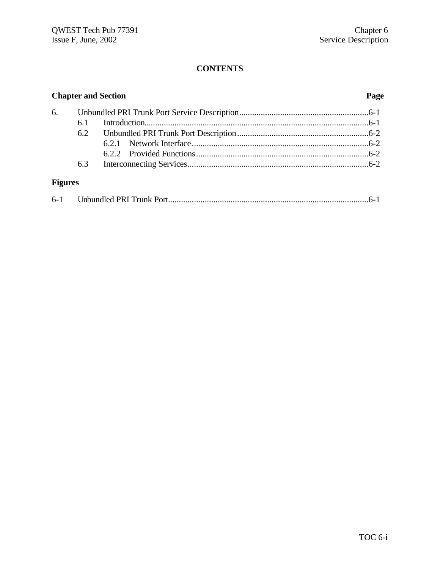| <b>Chapter and Section</b> |     |  | Page |
|----------------------------|-----|--|------|
|                            |     |  |      |
|                            | 6.1 |  |      |
|                            |     |  |      |
|                            |     |  |      |
|                            |     |  |      |
|                            | 6.3 |  |      |
| <b>Figures</b>             |     |  |      |

| $6 - 1$ |  |  |
|---------|--|--|
|---------|--|--|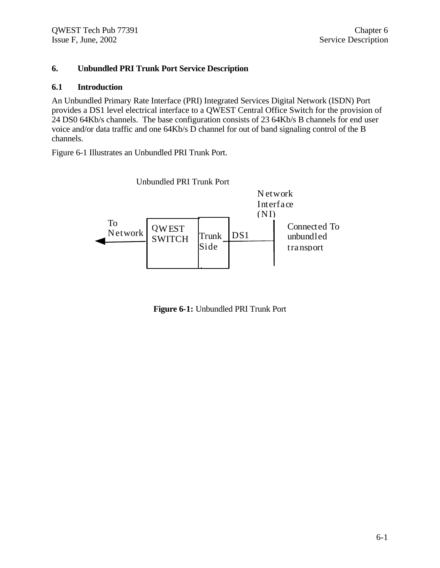### **6. Unbundled PRI Trunk Port Service Description**

### **6.1 Introduction**

An Unbundled Primary Rate Interface (PRI) Integrated Services Digital Network (ISDN) Port provides a DS1 level electrical interface to a QWEST Central Office Switch for the provision of 24 DS0 64Kb/s channels. The base configuration consists of 23 64Kb/s B channels for end user voice and/or data traffic and one 64Kb/s D channel for out of band signaling control of the B channels.

Figure 6-1 Illustrates an Unbundled PRI Trunk Port.



**Figure 6-1:** Unbundled PRI Trunk Port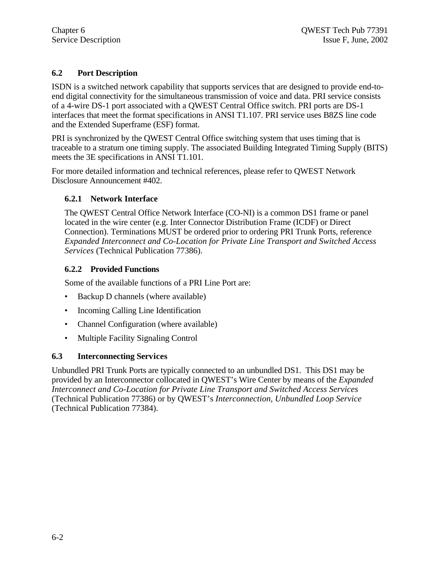### **6.2 Port Description**

ISDN is a switched network capability that supports services that are designed to provide end-toend digital connectivity for the simultaneous transmission of voice and data. PRI service consists of a 4-wire DS-1 port associated with a QWEST Central Office switch. PRI ports are DS-1 interfaces that meet the format specifications in ANSI T1.107. PRI service uses B8ZS line code and the Extended Superframe (ESF) format.

PRI is synchronized by the QWEST Central Office switching system that uses timing that is traceable to a stratum one timing supply. The associated Building Integrated Timing Supply (BITS) meets the 3E specifications in ANSI T1.101.

For more detailed information and technical references, please refer to QWEST Network Disclosure Announcement #402.

### **6.2.1 Network Interface**

The QWEST Central Office Network Interface (CO-NI) is a common DS1 frame or panel located in the wire center (e.g. Inter Connector Distribution Frame (ICDF) or Direct Connection). Terminations MUST be ordered prior to ordering PRI Trunk Ports, reference *Expanded Interconnect and Co-Location for Private Line Transport and Switched Access Services* (Technical Publication 77386).

### **6.2.2 Provided Functions**

Some of the available functions of a PRI Line Port are:

- Backup D channels (where available)
- Incoming Calling Line Identification
- Channel Configuration (where available)
- Multiple Facility Signaling Control

### **6.3 Interconnecting Services**

Unbundled PRI Trunk Ports are typically connected to an unbundled DS1. This DS1 may be provided by an Interconnector collocated in QWEST's Wire Center by means of the *Expanded Interconnect and Co-Location for Private Line Transport and Switched Access Services* (Technical Publication 77386) or by QWEST's *Interconnection, Unbundled Loop Service* (Technical Publication 77384).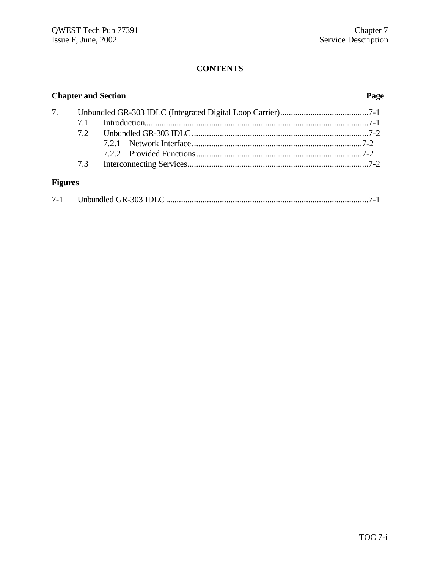| <b>Chapter and Section</b> |     |  | Page |
|----------------------------|-----|--|------|
| 7.                         |     |  |      |
|                            | 71  |  |      |
|                            | 72  |  |      |
|                            |     |  |      |
|                            |     |  |      |
|                            | 7.3 |  |      |
| <b>Figures</b>             |     |  |      |

| $7 - 1$ |  |  |
|---------|--|--|
|---------|--|--|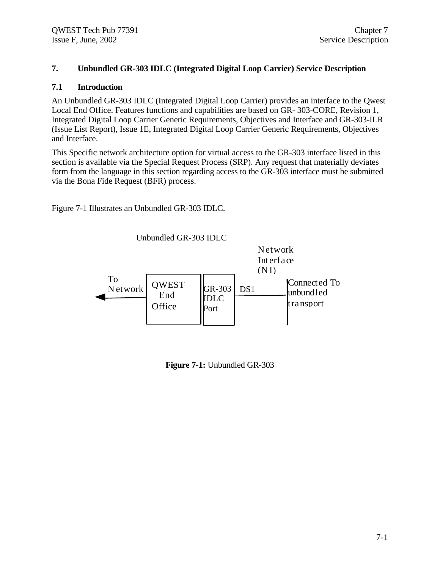### **7. Unbundled GR-303 IDLC (Integrated Digital Loop Carrier) Service Description**

### **7.1 Introduction**

An Unbundled GR-303 IDLC (Integrated Digital Loop Carrier) provides an interface to the Qwest Local End Office. Features functions and capabilities are based on GR- 303-CORE, Revision 1, Integrated Digital Loop Carrier Generic Requirements, Objectives and Interface and GR-303-ILR (Issue List Report), Issue 1E, Integrated Digital Loop Carrier Generic Requirements, Objectives and Interface.

This Specific network architecture option for virtual access to the GR-303 interface listed in this section is available via the Special Request Process (SRP). Any request that materially deviates form from the language in this section regarding access to the GR-303 interface must be submitted via the Bona Fide Request (BFR) process.

Figure 7-1 Illustrates an Unbundled GR-303 IDLC.

Unbundled GR-303 IDLC



**Figure 7-1:** Unbundled GR-303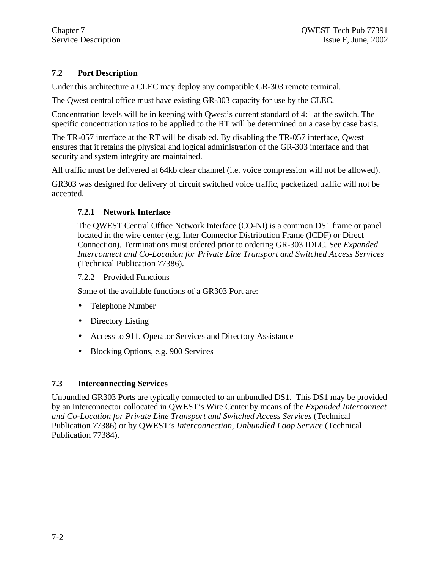### **7.2 Port Description**

Under this architecture a CLEC may deploy any compatible GR-303 remote terminal.

The Qwest central office must have existing GR-303 capacity for use by the CLEC.

Concentration levels will be in keeping with Qwest's current standard of 4:1 at the switch. The specific concentration ratios to be applied to the RT will be determined on a case by case basis.

The TR-057 interface at the RT will be disabled. By disabling the TR-057 interface, Qwest ensures that it retains the physical and logical administration of the GR-303 interface and that security and system integrity are maintained.

All traffic must be delivered at 64kb clear channel (i.e. voice compression will not be allowed).

GR303 was designed for delivery of circuit switched voice traffic, packetized traffic will not be accepted.

### **7.2.1 Network Interface**

The QWEST Central Office Network Interface (CO-NI) is a common DS1 frame or panel located in the wire center (e.g. Inter Connector Distribution Frame (ICDF) or Direct Connection). Terminations must ordered prior to ordering GR-303 IDLC. See *Expanded Interconnect and Co-Location for Private Line Transport and Switched Access Services* (Technical Publication 77386).

### 7.2.2 Provided Functions

Some of the available functions of a GR303 Port are:

- Telephone Number
- Directory Listing
- Access to 911, Operator Services and Directory Assistance
- Blocking Options, e.g. 900 Services

### **7.3 Interconnecting Services**

Unbundled GR303 Ports are typically connected to an unbundled DS1. This DS1 may be provided by an Interconnector collocated in QWEST's Wire Center by means of the *Expanded Interconnect and Co-Location for Private Line Transport and Switched Access Services* (Technical Publication 77386) or by QWEST's *Interconnection, Unbundled Loop Service* (Technical Publication 77384).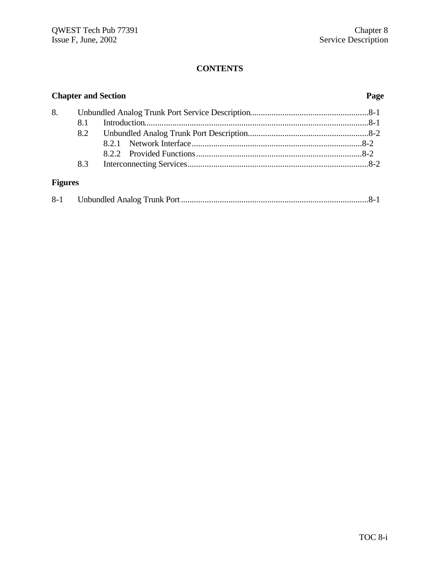| <b>Chapter and Section</b> |            |  | Page |
|----------------------------|------------|--|------|
| 8.                         |            |  |      |
|                            | <b>8.1</b> |  |      |
|                            | 8.2        |  |      |
|                            |            |  |      |
|                            |            |  |      |
|                            | 8.3        |  |      |
| <b>Figures</b>             |            |  |      |

| $8 - 1$ |  |  |  |
|---------|--|--|--|
|---------|--|--|--|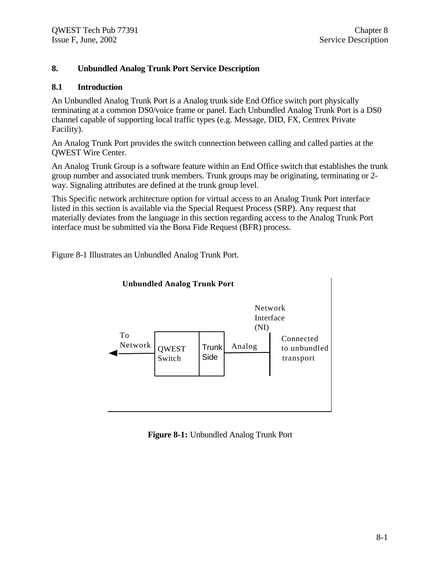### **8. Unbundled Analog Trunk Port Service Description**

### **8.1 Introduction**

An Unbundled Analog Trunk Port is a Analog trunk side End Office switch port physically terminating at a common DS0/voice frame or panel. Each Unbundled Analog Trunk Port is a DS0 channel capable of supporting local traffic types (e.g. Message, DID, FX, Centrex Private Facility).

An Analog Trunk Port provides the switch connection between calling and called parties at the QWEST Wire Center.

An Analog Trunk Group is a software feature within an End Office switch that establishes the trunk group number and associated trunk members. Trunk groups may be originating, terminating or 2 way. Signaling attributes are defined at the trunk group level.

This Specific network architecture option for virtual access to an Analog Trunk Port interface listed in this section is available via the Special Request Process (SRP). Any request that materially deviates from the language in this section regarding access to the Analog Trunk Port interface must be submitted via the Bona Fide Request (BFR) process.

Figure 8-1 Illustrates an Unbundled Analog Trunk Port.



### **Figure 8-1:** Unbundled Analog Trunk Port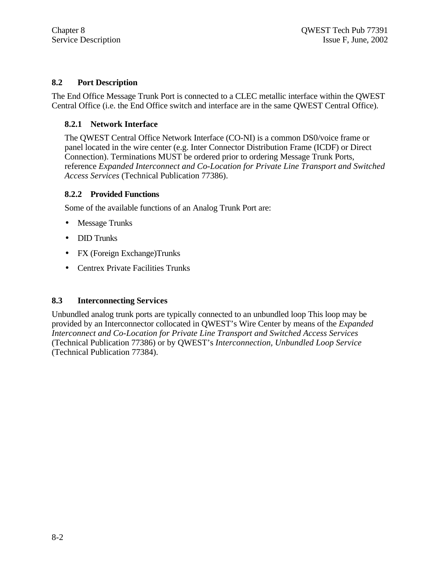### **8.2 Port Description**

The End Office Message Trunk Port is connected to a CLEC metallic interface within the QWEST Central Office (i.e. the End Office switch and interface are in the same QWEST Central Office).

### **8.2.1 Network Interface**

The QWEST Central Office Network Interface (CO-NI) is a common DS0/voice frame or panel located in the wire center (e.g. Inter Connector Distribution Frame (ICDF) or Direct Connection). Terminations MUST be ordered prior to ordering Message Trunk Ports, reference *Expanded Interconnect and Co-Location for Private Line Transport and Switched Access Services* (Technical Publication 77386).

### **8.2.2 Provided Functions**

Some of the available functions of an Analog Trunk Port are:

- Message Trunks
- **DID** Trunks
- FX (Foreign Exchange)Trunks
- Centrex Private Facilities Trunks

### **8.3 Interconnecting Services**

Unbundled analog trunk ports are typically connected to an unbundled loop This loop may be provided by an Interconnector collocated in QWEST's Wire Center by means of the *Expanded Interconnect and Co-Location for Private Line Transport and Switched Access Services* (Technical Publication 77386) or by QWEST's *Interconnection, Unbundled Loop Service* (Technical Publication 77384).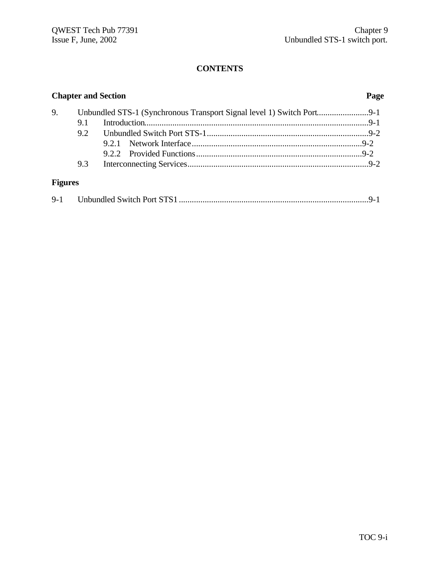| <b>Chapter and Section</b> |     |  |  |
|----------------------------|-----|--|--|
| 9.                         | 9.1 |  |  |
|                            | 9.2 |  |  |
|                            |     |  |  |
|                            | 9.3 |  |  |
| <b>Figures</b>             |     |  |  |

| $9 - 1$ |  |  |  |
|---------|--|--|--|
|---------|--|--|--|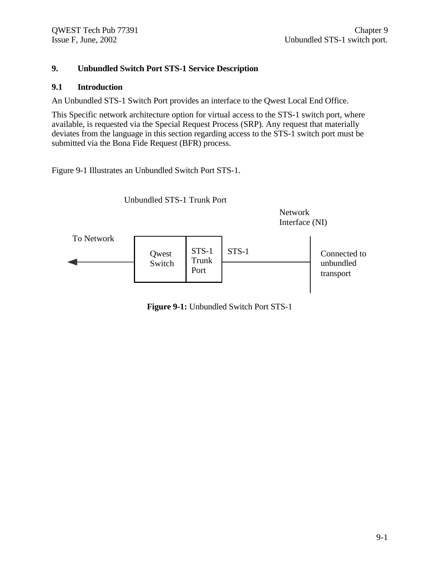### **9. Unbundled Switch Port STS-1 Service Description**

### **9.1 Introduction**

An Unbundled STS-1 Switch Port provides an interface to the Qwest Local End Office.

This Specific network architecture option for virtual access to the STS-1 switch port, where available, is requested via the Special Request Process (SRP). Any request that materially deviates from the language in this section regarding access to the STS-1 switch port must be submitted via the Bona Fide Request (BFR) process.

Figure 9-1 Illustrates an Unbundled Switch Port STS-1.



**Figure 9-1:** Unbundled Switch Port STS-1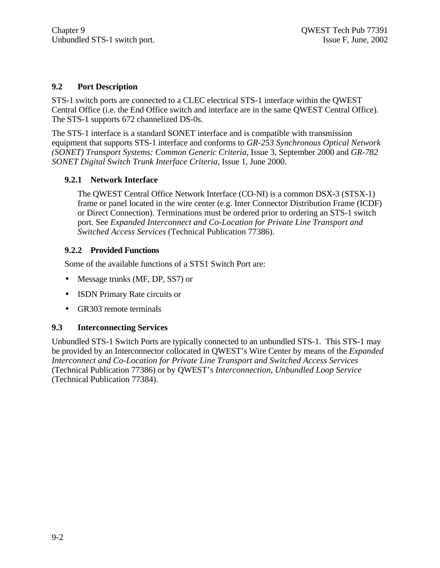### **9.2 Port Description**

STS-1 switch ports are connected to a CLEC electrical STS-1 interface within the QWEST Central Office (i.e. the End Office switch and interface are in the same QWEST Central Office). The STS-1 supports 672 channelized DS-0s.

The STS-1 interface is a standard SONET interface and is compatible with transmission equipment that supports STS-1 interface and conforms to *GR-253 Synchronous Optical Network (SONET) Transport Systems: Common Generic Criteria*, Issue 3, September 2000 and *GR-782 SONET Digital Switch Trunk Interface Criteria*, Issue 1, June 2000.

### **9.2.1 Network Interface**

The QWEST Central Office Network Interface (CO-NI) is a common DSX-3 (STSX-1) frame or panel located in the wire center (e.g. Inter Connector Distribution Frame (ICDF) or Direct Connection). Terminations must be ordered prior to ordering an STS-1 switch port. See *Expanded Interconnect and Co-Location for Private Line Transport and Switched Access Services* (Technical Publication 77386).

### **9.2.2 Provided Functions**

Some of the available functions of a STS1 Switch Port are:

- Message trunks (MF, DP, SS7) or
- ISDN Primary Rate circuits or
- GR303 remote terminals

### **9.3 Interconnecting Services**

Unbundled STS-1 Switch Ports are typically connected to an unbundled STS-1. This STS-1 may be provided by an Interconnector collocated in QWEST's Wire Center by means of the *Expanded Interconnect and Co-Location for Private Line Transport and Switched Access Services* (Technical Publication 77386) or by QWEST's *Interconnection, Unbundled Loop Service* (Technical Publication 77384).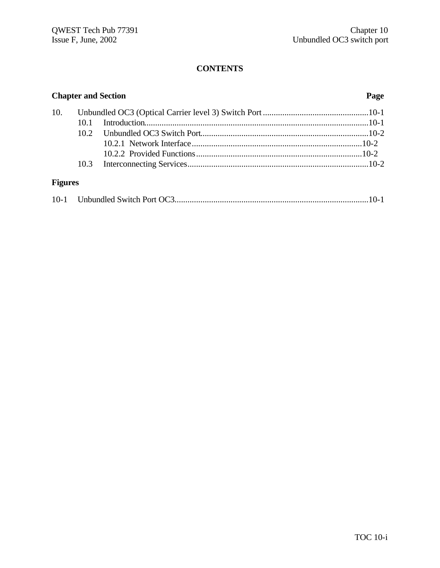|                | <b>Chapter and Section</b> | Page |  |  |
|----------------|----------------------------|------|--|--|
| 10.            |                            |      |  |  |
|                |                            |      |  |  |
|                |                            |      |  |  |
|                |                            |      |  |  |
|                |                            |      |  |  |
|                |                            |      |  |  |
| <b>Figures</b> |                            |      |  |  |

| $10-1$ |  |  |  |
|--------|--|--|--|
|--------|--|--|--|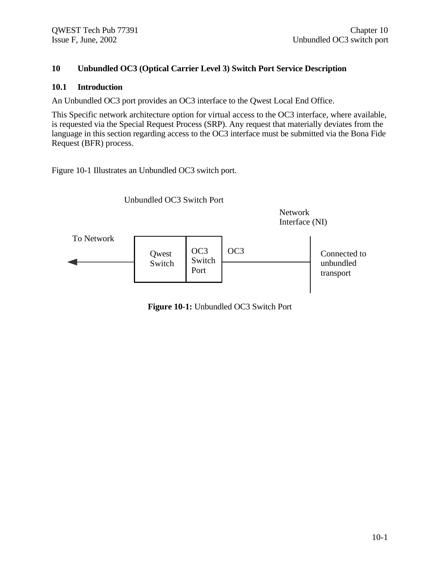### **10 Unbundled OC3 (Optical Carrier Level 3) Switch Port Service Description**

### **10.1 Introduction**

An Unbundled OC3 port provides an OC3 interface to the Qwest Local End Office.

This Specific network architecture option for virtual access to the OC3 interface, where available, is requested via the Special Request Process (SRP). Any request that materially deviates from the language in this section regarding access to the OC3 interface must be submitted via the Bona Fide Request (BFR) process.

Figure 10-1 Illustrates an Unbundled OC3 switch port.



**Figure 10-1:** Unbundled OC3 Switch Port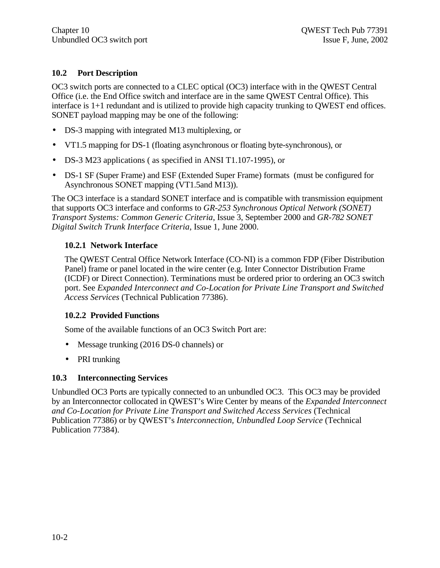### **10.2 Port Description**

OC3 switch ports are connected to a CLEC optical (OC3) interface with in the QWEST Central Office (i.e. the End Office switch and interface are in the same QWEST Central Office). This interface is 1+1 redundant and is utilized to provide high capacity trunking to QWEST end offices. SONET payload mapping may be one of the following:

- DS-3 mapping with integrated M13 multiplexing, or
- VT1.5 mapping for DS-1 (floating asynchronous or floating byte-synchronous), or
- DS-3 M23 applications ( as specified in ANSI T1.107-1995), or
- DS-1 SF (Super Frame) and ESF (Extended Super Frame) formats (must be configured for Asynchronous SONET mapping (VT1.5and M13)).

The OC3 interface is a standard SONET interface and is compatible with transmission equipment that supports OC3 interface and conforms to *GR-253 Synchronous Optical Network (SONET) Transport Systems: Common Generic Criteria*, Issue 3, September 2000 and *GR-782 SONET Digital Switch Trunk Interface Criteria*, Issue 1, June 2000.

### **10.2.1 Network Interface**

The QWEST Central Office Network Interface (CO-NI) is a common FDP (Fiber Distribution Panel) frame or panel located in the wire center (e.g. Inter Connector Distribution Frame (ICDF) or Direct Connection). Terminations must be ordered prior to ordering an OC3 switch port. See *Expanded Interconnect and Co-Location for Private Line Transport and Switched Access Services* (Technical Publication 77386).

### **10.2.2 Provided Functions**

Some of the available functions of an OC3 Switch Port are:

- Message trunking (2016 DS-0 channels) or
- PRI trunking

### **10.3 Interconnecting Services**

Unbundled OC3 Ports are typically connected to an unbundled OC3. This OC3 may be provided by an Interconnector collocated in QWEST's Wire Center by means of the *Expanded Interconnect and Co-Location for Private Line Transport and Switched Access Services* (Technical Publication 77386) or by QWEST's *Interconnection, Unbundled Loop Service* (Technical Publication 77384).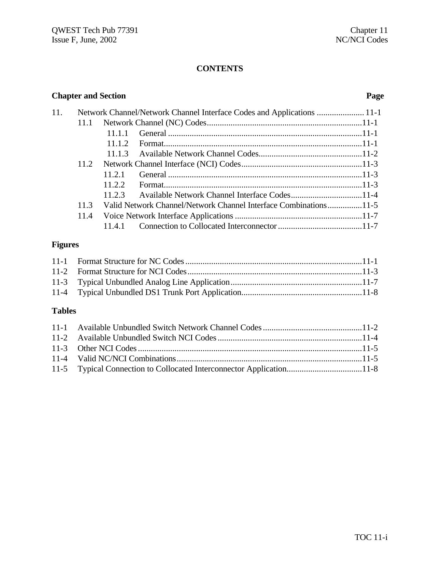| <b>Chapter and Section</b> | Page |
|----------------------------|------|
|                            |      |

| 11. |      |        | Network Channel/Network Channel Interface Codes and Applications  11-1 |  |
|-----|------|--------|------------------------------------------------------------------------|--|
|     | 11.1 |        |                                                                        |  |
|     |      | 11.1.1 |                                                                        |  |
|     |      | 11.1.2 |                                                                        |  |
|     |      |        |                                                                        |  |
|     | 11.2 |        |                                                                        |  |
|     |      | 11.2.1 |                                                                        |  |
|     |      | 11.2.2 |                                                                        |  |
|     |      |        | 11.2.3 Available Network Channel Interface Codes11-4                   |  |
|     | 11.3 |        | Valid Network Channel/Network Channel Interface Combinations11-5       |  |
|     | 11.4 |        |                                                                        |  |
|     |      | 11.4.1 |                                                                        |  |

## **Figures**

## **Tables**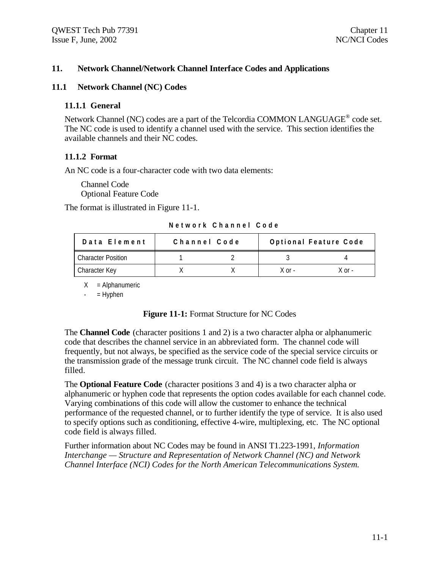### **11. Network Channel/Network Channel Interface Codes and Applications**

#### **11.1 Network Channel (NC) Codes**

#### **11.1.1 General**

Network Channel (NC) codes are a part of the Telcordia COMMON LANGUAGE<sup>®</sup> code set. The NC code is used to identify a channel used with the service. This section identifies the available channels and their NC codes.

#### **11.1.2 Format**

An NC code is a four-character code with two data elements:

Channel Code Optional Feature Code

The format is illustrated in Figure 11-1.

**Network Channel Code**

| Data Element       | Channel Code | Optional Feature Code |        |  |  |
|--------------------|--------------|-----------------------|--------|--|--|
| Character Position |              |                       |        |  |  |
| Character Key      |              | $X$ or $-$            | X nr - |  |  |

 $X =$  Alphanumeric

 $-$  = Hyphen

### **Figure 11-1:** Format Structure for NC Codes

The **Channel Code** (character positions 1 and 2) is a two character alpha or alphanumeric code that describes the channel service in an abbreviated form. The channel code will frequently, but not always, be specified as the service code of the special service circuits or the transmission grade of the message trunk circuit. The NC channel code field is always filled.

The **Optional Feature Code** (character positions 3 and 4) is a two character alpha or alphanumeric or hyphen code that represents the option codes available for each channel code. Varying combinations of this code will allow the customer to enhance the technical performance of the requested channel, or to further identify the type of service. It is also used to specify options such as conditioning, effective 4-wire, multiplexing, etc. The NC optional code field is always filled.

Further information about NC Codes may be found in ANSI T1.223-1991, *Information Interchange — Structure and Representation of Network Channel (NC) and Network Channel Interface (NCI) Codes for the North American Telecommunications System.*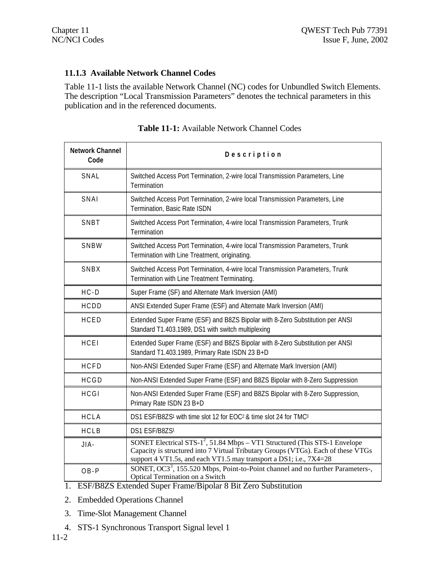### **11.1.3 Available Network Channel Codes**

Table 11-1 lists the available Network Channel (NC) codes for Unbundled Switch Elements. The description "Local Transmission Parameters" denotes the technical parameters in this publication and in the referenced documents.

| <b>Network Channel</b><br>Code | Description                                                                                                                                                                                                                                       |  |  |  |  |  |  |
|--------------------------------|---------------------------------------------------------------------------------------------------------------------------------------------------------------------------------------------------------------------------------------------------|--|--|--|--|--|--|
| SNAL                           | Switched Access Port Termination, 2-wire local Transmission Parameters, Line<br>Termination                                                                                                                                                       |  |  |  |  |  |  |
| SNAI                           | Switched Access Port Termination, 2-wire local Transmission Parameters, Line<br>Termination, Basic Rate ISDN                                                                                                                                      |  |  |  |  |  |  |
| SNBT                           | Switched Access Port Termination, 4-wire local Transmission Parameters, Trunk<br>Termination                                                                                                                                                      |  |  |  |  |  |  |
| SNBW                           | Switched Access Port Termination, 4-wire local Transmission Parameters, Trunk<br>Termination with Line Treatment, originating.                                                                                                                    |  |  |  |  |  |  |
| SNBX                           | Switched Access Port Termination, 4-wire local Transmission Parameters, Trunk<br>Termination with Line Treatment Terminating.                                                                                                                     |  |  |  |  |  |  |
| $HC - D$                       | Super Frame (SF) and Alternate Mark Inversion (AMI)                                                                                                                                                                                               |  |  |  |  |  |  |
| HCDD                           | ANSI Extended Super Frame (ESF) and Alternate Mark Inversion (AMI)                                                                                                                                                                                |  |  |  |  |  |  |
| HCED                           | Extended Super Frame (ESF) and B8ZS Bipolar with 8-Zero Substitution per ANSI<br>Standard T1.403.1989, DS1 with switch multiplexing                                                                                                               |  |  |  |  |  |  |
| HCEI                           | Extended Super Frame (ESF) and B8ZS Bipolar with 8-Zero Substitution per ANSI<br>Standard T1.403.1989, Primary Rate ISDN 23 B+D                                                                                                                   |  |  |  |  |  |  |
| <b>HCFD</b>                    | Non-ANSI Extended Super Frame (ESF) and Alternate Mark Inversion (AMI)                                                                                                                                                                            |  |  |  |  |  |  |
| HCGD                           | Non-ANSI Extended Super Frame (ESF) and B8ZS Bipolar with 8-Zero Suppression                                                                                                                                                                      |  |  |  |  |  |  |
| <b>HCGI</b>                    | Non-ANSI Extended Super Frame (ESF) and B8ZS Bipolar with 8-Zero Suppression,<br>Primary Rate ISDN 23 B+D                                                                                                                                         |  |  |  |  |  |  |
| <b>HCLA</b>                    | DS1 ESF/B8ZS <sup>1</sup> with time slot 12 for EOC <sup>2</sup> & time slot 24 for TMC <sup>3</sup>                                                                                                                                              |  |  |  |  |  |  |
| HCLB                           | DS1 ESF/B8ZS1                                                                                                                                                                                                                                     |  |  |  |  |  |  |
| JIA-                           | SONET Electrical STS-1 <sup>2</sup> , 51.84 Mbps - VT1 Structured (This STS-1 Envelope<br>Capacity is structured into 7 Virtual Tributary Groups (VTGs). Each of these VTGs<br>support 4 VT1.5s, and each VT1.5 may transport a DS1; i.e., 7X4=28 |  |  |  |  |  |  |
| $OB - P$                       | SONET, OC3 <sup>3</sup> , 155.520 Mbps, Point-to-Point channel and no further Parameters-,<br>Optical Termination on a Switch                                                                                                                     |  |  |  |  |  |  |

| <b>Table 11-1:</b> Available Network Channel Codes |
|----------------------------------------------------|
|                                                    |

1. ESF/B8ZS Extended Super Frame/Bipolar 8 Bit Zero Substitution

- 2. Embedded Operations Channel
- 3. Time-Slot Management Channel
- 4. STS-1 Synchronous Transport Signal level 1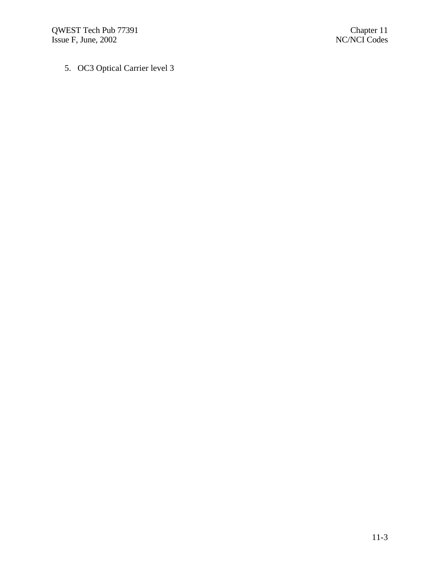QWEST Tech Pub 77391 Chapter 11 Issue F, June, 2002 NC/NCI Codes

5. OC3 Optical Carrier level 3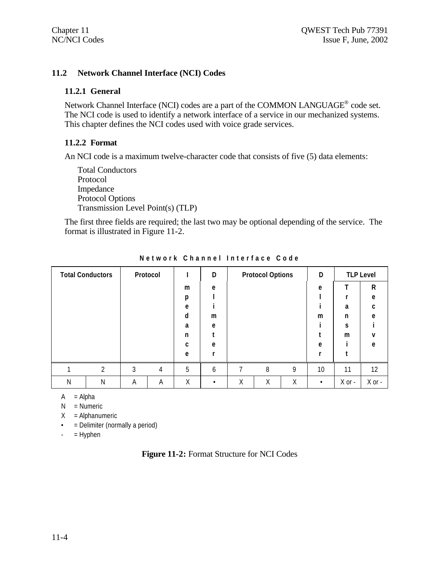### **11.2 Network Channel Interface (NCI) Codes**

### **11.2.1 General**

Network Channel Interface (NCI) codes are a part of the COMMON LANGUAGE<sup>®</sup> code set. The NCI code is used to identify a network interface of a service in our mechanized systems. This chapter defines the NCI codes used with voice grade services.

### **11.2.2 Format**

An NCI code is a maximum twelve-character code that consists of five (5) data elements:

Total Conductors Protocol Impedance Protocol Options Transmission Level Point(s) (TLP)

The first three fields are required; the last two may be optional depending of the service. The format is illustrated in Figure 11-2.

|   | <b>Total Conductors</b> |   | Protocol |   | D |   | <b>Protocol Options</b> |   | D  |          | <b>TLP Level</b> |
|---|-------------------------|---|----------|---|---|---|-------------------------|---|----|----------|------------------|
|   |                         |   |          | m | e |   |                         |   | e  | т        | $\mathsf{R}$     |
|   |                         |   |          | р |   |   |                         |   |    |          | e                |
|   |                         |   |          | e |   |   |                         |   |    | a        | c                |
|   |                         |   |          | d | m |   |                         |   | m  | n        | e                |
|   |                         |   |          | a | e |   |                         |   |    | S        |                  |
|   |                         |   |          | n |   |   |                         |   |    | m        | v                |
|   |                         |   |          | C | e |   |                         |   | e  |          | e                |
|   |                         |   |          | e |   |   |                         |   |    |          |                  |
|   | C.                      | 3 | 4        | 5 | 6 |   | 8                       | 9 | 10 | 11       | 12               |
| Ν | Ν                       | Α | Α        | Χ | ٠ | Χ | Χ                       | Χ |    | $X$ or - | $X$ or $-$       |

**Network Channel Interface Code**

 $A = Alpha$ 

 $N =$  Numeric

 $X =$ Alphanumeric

• = Delimiter (normally a period)

 $-$  = Hyphen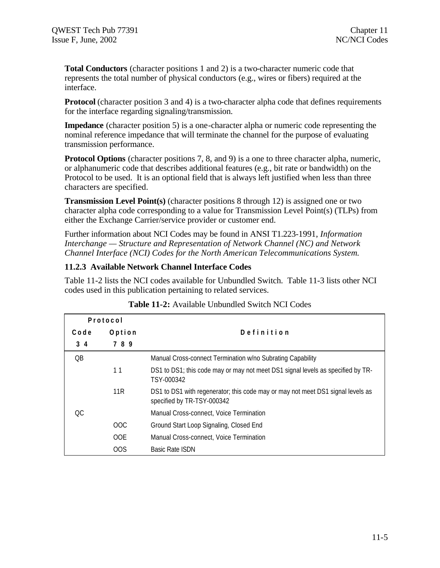**Total Conductors** (character positions 1 and 2) is a two-character numeric code that represents the total number of physical conductors (e.g., wires or fibers) required at the interface.

**Protocol** (character position 3 and 4) is a two-character alpha code that defines requirements for the interface regarding signaling/transmission.

**Impedance** (character position 5) is a one-character alpha or numeric code representing the nominal reference impedance that will terminate the channel for the purpose of evaluating transmission performance.

**Protocol Options** (character positions 7, 8, and 9) is a one to three character alpha, numeric, or alphanumeric code that describes additional features (e.g., bit rate or bandwidth) on the Protocol to be used. It is an optional field that is always left justified when less than three characters are specified.

**Transmission Level Point(s)** (character positions 8 through 12) is assigned one or two character alpha code corresponding to a value for Transmission Level Point(s) (TLPs) from either the Exchange Carrier/service provider or customer end.

Further information about NCI Codes may be found in ANSI T1.223-1991, *Information Interchange — Structure and Representation of Network Channel (NC) and Network Channel Interface (NCI) Codes for the North American Telecommunications System.*

### **11.2.3 Available Network Channel Interface Codes**

Table 11-2 lists the NCI codes available for Unbundled Switch. Table 11-3 lists other NCI codes used in this publication pertaining to related services.

|      | Protocol        |                                                                                                               |
|------|-----------------|---------------------------------------------------------------------------------------------------------------|
| Code | Option          | Definition                                                                                                    |
| 34   | 789             |                                                                                                               |
| QB   |                 | Manual Cross-connect Termination w/no Subrating Capability                                                    |
|      | 11              | DS1 to DS1; this code may or may not meet DS1 signal levels as specified by TR-<br>TSY-000342                 |
|      | 11 <sub>R</sub> | DS1 to DS1 with regenerator; this code may or may not meet DS1 signal levels as<br>specified by TR-TSY-000342 |
| OC.  |                 | Manual Cross-connect, Voice Termination                                                                       |
|      | <b>OOC</b>      | Ground Start Loop Signaling, Closed End                                                                       |
|      | OOE.            | Manual Cross-connect, Voice Termination                                                                       |
|      | OOS             | <b>Basic Rate ISDN</b>                                                                                        |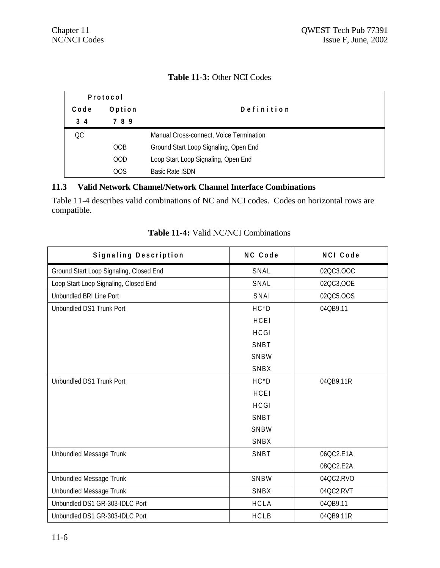|  | <b>Table 11-3: Other NCI Codes</b> |
|--|------------------------------------|
|--|------------------------------------|

| Protocol  |            |                                         |
|-----------|------------|-----------------------------------------|
| Code      | Option     | Definition                              |
| $3\quad4$ | 789        |                                         |
| QC        |            | Manual Cross-connect, Voice Termination |
|           | OOB        | Ground Start Loop Signaling, Open End   |
|           | <b>OOD</b> | Loop Start Loop Signaling, Open End     |
|           | 00S        | <b>Basic Rate ISDN</b>                  |

### **11.3 Valid Network Channel/Network Channel Interface Combinations**

Table 11-4 describes valid combinations of NC and NCI codes. Codes on horizontal rows are compatible.

| Signaling Description                   | NC Code     | NCI Code  |
|-----------------------------------------|-------------|-----------|
| Ground Start Loop Signaling, Closed End | SNAL        | 02QC3.OOC |
| Loop Start Loop Signaling, Closed End   | SNAL        | 02QC3.OOE |
| Unbundled BRI Line Port                 | SNAI        | 02QC5.OOS |
| Unbundled DS1 Trunk Port                | $HC*D$      | 04QB9.11  |
|                                         | HCEI        |           |
|                                         | <b>HCGI</b> |           |
|                                         | SNBT        |           |
|                                         | SNBW        |           |
|                                         | SNBX        |           |
| Unbundled DS1 Trunk Port                | $HC*D$      | 04QB9.11R |
|                                         | HCEI        |           |
|                                         | <b>HCGI</b> |           |
|                                         | SNBT        |           |
|                                         | SNBW        |           |
|                                         | SNBX        |           |
| Unbundled Message Trunk                 | SNBT        | 06QC2.E1A |
|                                         |             | 08QC2.E2A |
| Unbundled Message Trunk                 | SNBW        | 04QC2.RVO |
| Unbundled Message Trunk                 | SNBX        | 04QC2.RVT |
| Unbundled DS1 GR-303-IDLC Port          | <b>HCLA</b> | 04QB9.11  |
| Unbundled DS1 GR-303-IDLC Port          | <b>HCLB</b> | 04QB9.11R |

### **Table 11-4:** Valid NC/NCI Combinations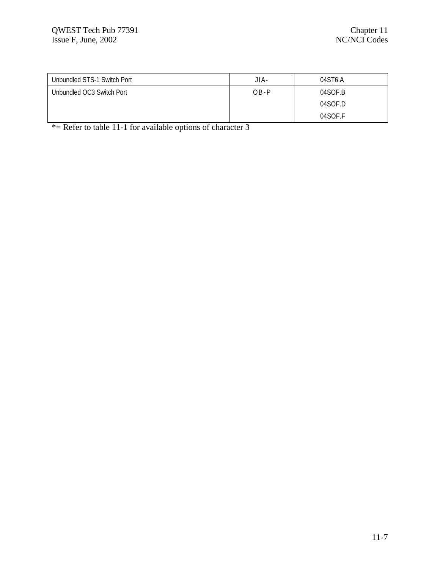| Unbundled STS-1 Switch Port | JIA-     | 04ST6.A |
|-----------------------------|----------|---------|
| Unbundled OC3 Switch Port   | $OB - P$ | 04SOF.B |
|                             |          | 04SOF.D |
|                             |          | 04SOF.F |

\*= Refer to table 11-1 for available options of character 3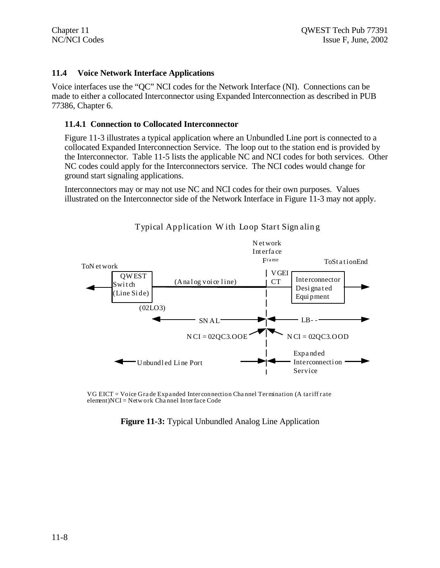### **11.4 Voice Network Interface Applications**

Voice interfaces use the "QC" NCI codes for the Network Interface (NI). Connections can be made to either a collocated Interconnector using Expanded Interconnection as described in PUB 77386, Chapter 6.

### **11.4.1 Connection to Collocated Interconnector**

Figure 11-3 illustrates a typical application where an Unbundled Line port is connected to a collocated Expanded Interconnection Service. The loop out to the station end is provided by the Interconnector. Table 11-5 lists the applicable NC and NCI codes for both services. Other NC codes could apply for the Interconnectors service. The NCI codes would change for ground start signaling applications.

Interconnectors may or may not use NC and NCI codes for their own purposes. Values illustrated on the Interconnector side of the Network Interface in Figure 11-3 may not apply.



Typical Application W ith Loop Start Sign alin g

VG EICT = Voice Gra de Expanded Inter connection Cha nnel Termination (A tariff r ate element)NCI = Netw ork Cha nnel Interface Code

**Figure 11-3:** Typical Unbundled Analog Line Application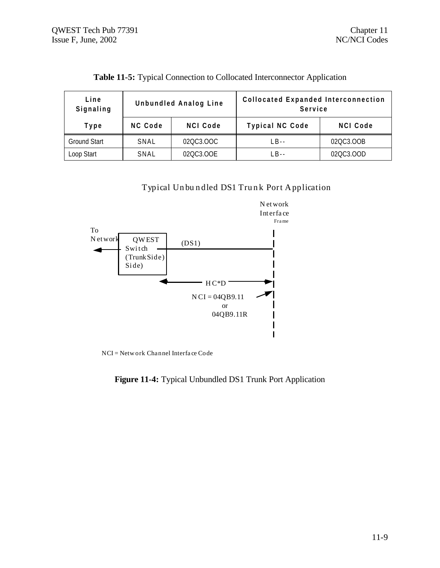| Line<br>Signaling   | Unbundled Analog Line |                 | <b>Collocated Expanded Interconnection</b><br>Service |                 |
|---------------------|-----------------------|-----------------|-------------------------------------------------------|-----------------|
| Type                | NC Code               | <b>NCI Code</b> | Typical NC Code                                       | <b>NCI Code</b> |
| <b>Ground Start</b> | SNAL                  | 02QC3.OOC       | $IB -$                                                | 02QC3.OOB       |
| Loop Start          | SNAL                  | 02QC3.OOE       | $IB -$                                                | 02QC3.OOD       |

**Table 11-5:** Typical Connection to Collocated Interconnector Application

Typical Unbundled DS1 Trunk Port Application



NCI = Network Channel Interface Code

**Figure 11-4:** Typical Unbundled DS1 Trunk Port Application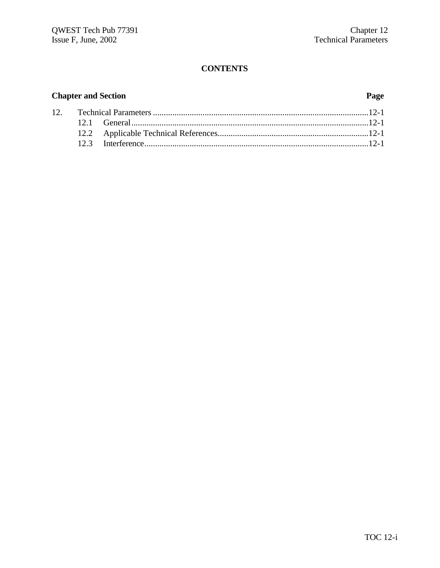### **Chapter and Section Page**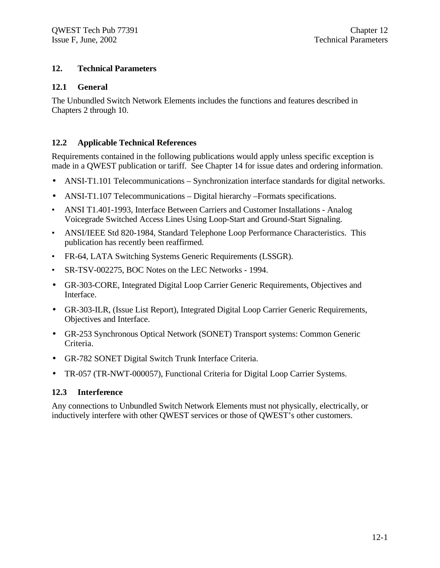### **12. Technical Parameters**

### **12.1 General**

The Unbundled Switch Network Elements includes the functions and features described in Chapters 2 through 10.

### **12.2 Applicable Technical References**

Requirements contained in the following publications would apply unless specific exception is made in a QWEST publication or tariff. See Chapter 14 for issue dates and ordering information.

- ANSI-T1.101 Telecommunications Synchronization interface standards for digital networks.
- ANSI-T1.107 Telecommunications Digital hierarchy Formats specifications.
- ANSI T1.401-1993, Interface Between Carriers and Customer Installations Analog Voicegrade Switched Access Lines Using Loop-Start and Ground-Start Signaling.
- ANSI/IEEE Std 820-1984, Standard Telephone Loop Performance Characteristics. This publication has recently been reaffirmed.
- FR-64, LATA Switching Systems Generic Requirements (LSSGR).
- SR-TSV-002275, BOC Notes on the LEC Networks 1994.
- GR-303-CORE, Integrated Digital Loop Carrier Generic Requirements, Objectives and Interface.
- GR-303-ILR, (Issue List Report), Integrated Digital Loop Carrier Generic Requirements, Objectives and Interface.
- GR-253 Synchronous Optical Network (SONET) Transport systems: Common Generic Criteria.
- GR-782 SONET Digital Switch Trunk Interface Criteria.
- TR-057 (TR-NWT-000057), Functional Criteria for Digital Loop Carrier Systems.

### **12.3 Interference**

Any connections to Unbundled Switch Network Elements must not physically, electrically, or inductively interfere with other QWEST services or those of QWEST's other customers.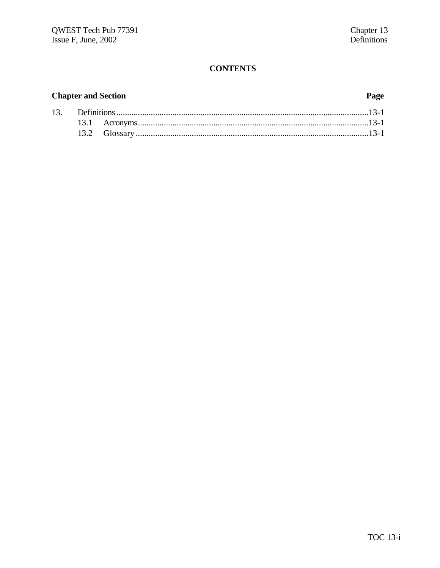## **Chapter and Section**

### Page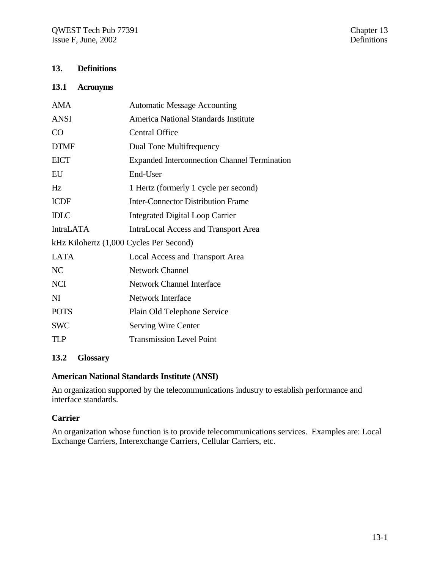### **13. Definitions**

### **13.1 Acronyms**

| <b>AMA</b>                              | <b>Automatic Message Accounting</b>                 |
|-----------------------------------------|-----------------------------------------------------|
| <b>ANSI</b>                             | <b>America National Standards Institute</b>         |
| CO                                      | <b>Central Office</b>                               |
| <b>DTMF</b>                             | Dual Tone Multifrequency                            |
| <b>EICT</b>                             | <b>Expanded Interconnection Channel Termination</b> |
| EU                                      | End-User                                            |
| Hz                                      | 1 Hertz (formerly 1 cycle per second)               |
| <b>ICDF</b>                             | <b>Inter-Connector Distribution Frame</b>           |
| <b>IDLC</b>                             | <b>Integrated Digital Loop Carrier</b>              |
| <b>IntraLATA</b>                        | <b>IntraLocal Access and Transport Area</b>         |
| kHz Kilohertz (1,000 Cycles Per Second) |                                                     |
| <b>LATA</b>                             | Local Access and Transport Area                     |
| N <sub>C</sub>                          | <b>Network Channel</b>                              |
| <b>NCI</b>                              | Network Channel Interface                           |
| NI                                      | Network Interface                                   |
| <b>POTS</b>                             | Plain Old Telephone Service                         |
| <b>SWC</b>                              | <b>Serving Wire Center</b>                          |
| TLP                                     | <b>Transmission Level Point</b>                     |
|                                         |                                                     |

### **13.2 Glossary**

### **American National Standards Institute (ANSI)**

An organization supported by the telecommunications industry to establish performance and interface standards.

### **Carrier**

An organization whose function is to provide telecommunications services. Examples are: Local Exchange Carriers, Interexchange Carriers, Cellular Carriers, etc.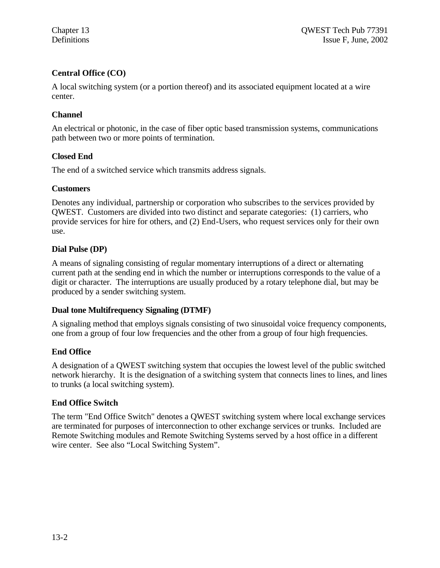### **Central Office (CO)**

A local switching system (or a portion thereof) and its associated equipment located at a wire center.

### **Channel**

An electrical or photonic, in the case of fiber optic based transmission systems, communications path between two or more points of termination.

### **Closed End**

The end of a switched service which transmits address signals.

### **Customers**

Denotes any individual, partnership or corporation who subscribes to the services provided by QWEST. Customers are divided into two distinct and separate categories: (1) carriers, who provide services for hire for others, and (2) End-Users, who request services only for their own use.

### **Dial Pulse (DP)**

A means of signaling consisting of regular momentary interruptions of a direct or alternating current path at the sending end in which the number or interruptions corresponds to the value of a digit or character. The interruptions are usually produced by a rotary telephone dial, but may be produced by a sender switching system.

### **Dual tone Multifrequency Signaling (DTMF)**

A signaling method that employs signals consisting of two sinusoidal voice frequency components, one from a group of four low frequencies and the other from a group of four high frequencies.

### **End Office**

A designation of a QWEST switching system that occupies the lowest level of the public switched network hierarchy. It is the designation of a switching system that connects lines to lines, and lines to trunks (a local switching system).

### **End Office Switch**

The term "End Office Switch" denotes a QWEST switching system where local exchange services are terminated for purposes of interconnection to other exchange services or trunks. Included are Remote Switching modules and Remote Switching Systems served by a host office in a different wire center. See also "Local Switching System".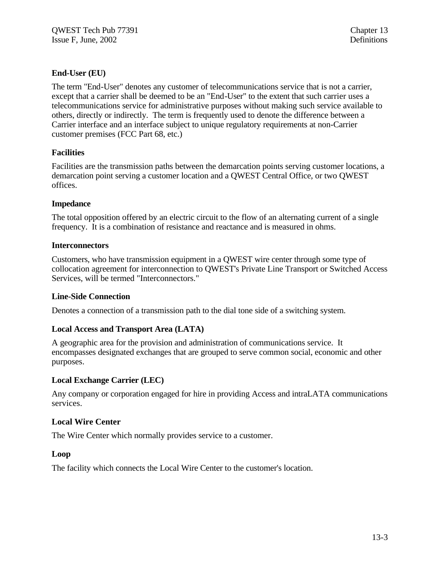### **End-User (EU)**

The term "End-User" denotes any customer of telecommunications service that is not a carrier, except that a carrier shall be deemed to be an "End-User" to the extent that such carrier uses a telecommunications service for administrative purposes without making such service available to others, directly or indirectly. The term is frequently used to denote the difference between a Carrier interface and an interface subject to unique regulatory requirements at non-Carrier customer premises (FCC Part 68, etc.)

### **Facilities**

Facilities are the transmission paths between the demarcation points serving customer locations, a demarcation point serving a customer location and a QWEST Central Office, or two QWEST offices.

### **Impedance**

The total opposition offered by an electric circuit to the flow of an alternating current of a single frequency. It is a combination of resistance and reactance and is measured in ohms.

### **Interconnectors**

Customers, who have transmission equipment in a QWEST wire center through some type of collocation agreement for interconnection to QWEST's Private Line Transport or Switched Access Services, will be termed "Interconnectors."

### **Line-Side Connection**

Denotes a connection of a transmission path to the dial tone side of a switching system.

### **Local Access and Transport Area (LATA)**

A geographic area for the provision and administration of communications service. It encompasses designated exchanges that are grouped to serve common social, economic and other purposes.

### **Local Exchange Carrier (LEC)**

Any company or corporation engaged for hire in providing Access and intraLATA communications services.

### **Local Wire Center**

The Wire Center which normally provides service to a customer.

### **Loop**

The facility which connects the Local Wire Center to the customer's location.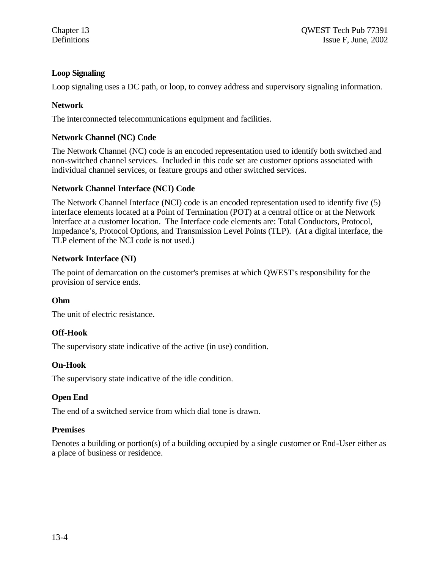### **Loop Signaling**

Loop signaling uses a DC path, or loop, to convey address and supervisory signaling information.

### **Network**

The interconnected telecommunications equipment and facilities.

### **Network Channel (NC) Code**

The Network Channel (NC) code is an encoded representation used to identify both switched and non-switched channel services. Included in this code set are customer options associated with individual channel services, or feature groups and other switched services.

### **Network Channel Interface (NCI) Code**

The Network Channel Interface (NCI) code is an encoded representation used to identify five (5) interface elements located at a Point of Termination (POT) at a central office or at the Network Interface at a customer location. The Interface code elements are: Total Conductors, Protocol, Impedance's, Protocol Options, and Transmission Level Points (TLP). (At a digital interface, the TLP element of the NCI code is not used.)

### **Network Interface (NI)**

The point of demarcation on the customer's premises at which QWEST's responsibility for the provision of service ends.

### **Ohm**

The unit of electric resistance.

### **Off-Hook**

The supervisory state indicative of the active (in use) condition.

### **On-Hook**

The supervisory state indicative of the idle condition.

### **Open End**

The end of a switched service from which dial tone is drawn.

### **Premises**

Denotes a building or portion(s) of a building occupied by a single customer or End-User either as a place of business or residence.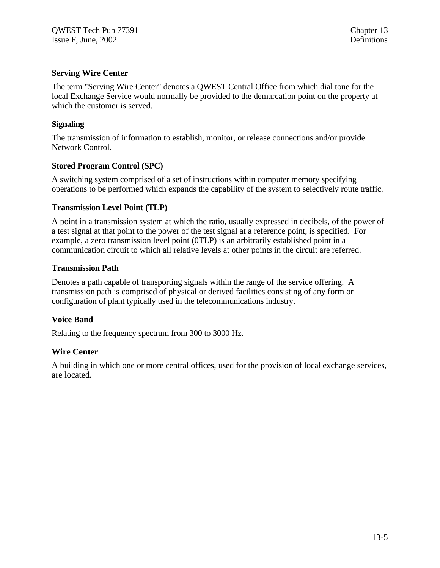### **Serving Wire Center**

The term "Serving Wire Center" denotes a QWEST Central Office from which dial tone for the local Exchange Service would normally be provided to the demarcation point on the property at which the customer is served.

### **Signaling**

The transmission of information to establish, monitor, or release connections and/or provide Network Control.

### **Stored Program Control (SPC)**

A switching system comprised of a set of instructions within computer memory specifying operations to be performed which expands the capability of the system to selectively route traffic.

### **Transmission Level Point (TLP)**

A point in a transmission system at which the ratio, usually expressed in decibels, of the power of a test signal at that point to the power of the test signal at a reference point, is specified. For example, a zero transmission level point (0TLP) is an arbitrarily established point in a communication circuit to which all relative levels at other points in the circuit are referred.

### **Transmission Path**

Denotes a path capable of transporting signals within the range of the service offering. A transmission path is comprised of physical or derived facilities consisting of any form or configuration of plant typically used in the telecommunications industry.

### **Voice Band**

Relating to the frequency spectrum from 300 to 3000 Hz.

### **Wire Center**

A building in which one or more central offices, used for the provision of local exchange services, are located.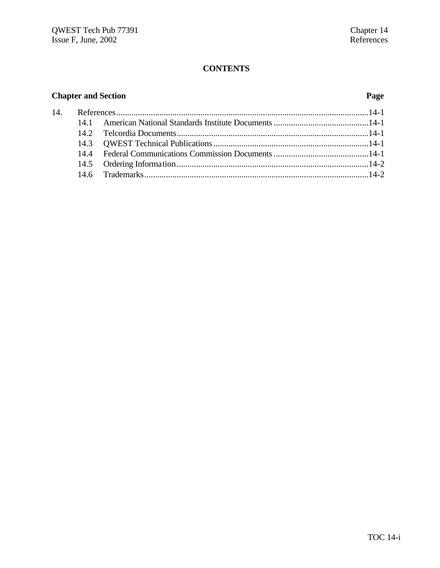## **Chapter and Section Page**

| 14. |  |  |
|-----|--|--|
|     |  |  |
|     |  |  |
|     |  |  |
|     |  |  |
|     |  |  |
|     |  |  |
|     |  |  |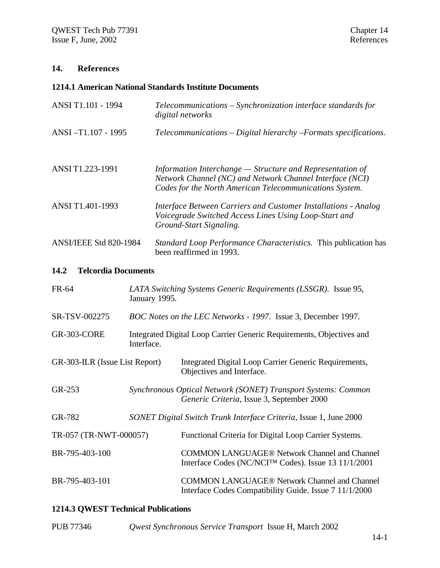### **14. References**

### **1214.1 American National Standards Institute Documents**

| ANSI T1.101 - 1994                 | Telecommunications - Synchronization interface standards for<br>digital networks                                                                                                   |
|------------------------------------|------------------------------------------------------------------------------------------------------------------------------------------------------------------------------------|
| ANSI-T1.107 - 1995                 | Telecommunications – Digital hierarchy – Formats specifications.                                                                                                                   |
| ANSI T1.223-1991                   | Information Interchange $-$ Structure and Representation of<br>Network Channel (NC) and Network Channel Interface (NCI)<br>Codes for the North American Telecommunications System. |
| ANSI T1.401-1993                   | Interface Between Carriers and Customer Installations - Analog<br>Voicegrade Switched Access Lines Using Loop-Start and<br>Ground-Start Signaling.                                 |
| <b>ANSI/IEEE Std 820-1984</b>      | <i>Standard Loop Performance Characteristics.</i> This publication has<br>been reaffirmed in 1993.                                                                                 |
| <b>Telcordia Documents</b><br>14.2 |                                                                                                                                                                                    |

| FR-64 | LATA Switching Systems Generic Requirements (LSSGR). Issue 95, |  |
|-------|----------------------------------------------------------------|--|
|       | January 1995.                                                  |  |

- SR-TSV-002275 *BOC Notes on the LEC Networks 1997.* Issue 3, December 1997.
- GR-303-CORE Integrated Digital Loop Carrier Generic Requirements, Objectives and Interface.
- GR-303-ILR (Issue List Report) Integrated Digital Loop Carrier Generic Requirements, Objectives and Interface.
- GR-253 *Synchronous Optical Network (SONET) Transport Systems: Common Generic Criteria*, Issue 3, September 2000
- GR-782 *SONET Digital Switch Trunk Interface Criteria,* Issue 1, June 2000
- TR-057 (TR-NWT-000057) Functional Criteria for Digital Loop Carrier Systems.
- BR-795-403-100 COMMON LANGUAGE® Network Channel and Channel Interface Codes (NC/NCI™ Codes). Issue 13 11/1/2001
- BR-795-403-101 COMMON LANGUAGE® Network Channel and Channel Interface Codes Compatibility Guide. Issue 7 11/1/2000

### **1214.3 QWEST Technical Publications**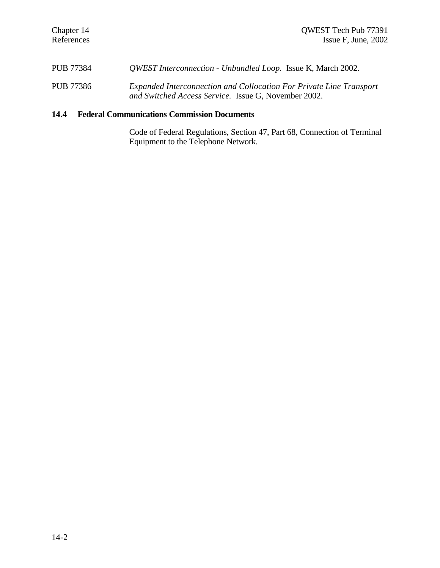| <b>PUB 77384</b> | <i>QWEST Interconnection - Unbundled Loop.</i> Issue K, March 2002. |  |
|------------------|---------------------------------------------------------------------|--|
|                  |                                                                     |  |

PUB 77386 *Expanded Interconnection and Collocation For Private Line Transport and Switched Access Service.* Issue G, November 2002.

### **14.4 Federal Communications Commission Documents**

Code of Federal Regulations, Section 47, Part 68, Connection of Terminal Equipment to the Telephone Network.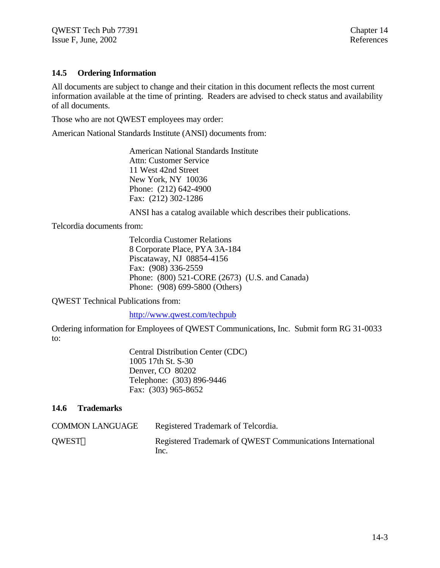### **14.5 Ordering Information**

All documents are subject to change and their citation in this document reflects the most current information available at the time of printing. Readers are advised to check status and availability of all documents.

Those who are not QWEST employees may order:

American National Standards Institute (ANSI) documents from:

American National Standards Institute Attn: Customer Service 11 West 42nd Street New York, NY 10036 Phone: (212) 642-4900 Fax: (212) 302-1286

ANSI has a catalog available which describes their publications.

Telcordia documents from:

Telcordia Customer Relations 8 Corporate Place, PYA 3A-184 Piscataway, NJ 08854-4156 Fax: (908) 336-2559 Phone: (800) 521-CORE (2673) (U.S. and Canada) Phone: (908) 699-5800 (Others)

QWEST Technical Publications from:

http://www.qwest.com/techpub

Ordering information for Employees of QWEST Communications, Inc. Submit form RG 31-0033 to:

> Central Distribution Center (CDC) 1005 17th St. S-30 Denver, CO 80202 Telephone: (303) 896-9446 Fax: (303) 965-8652

### **14.6 Trademarks**

| <b>COMMON LANGUAGE</b> | Registered Trademark of Telcordia.                                 |
|------------------------|--------------------------------------------------------------------|
| QWEST <sup>®</sup>     | Registered Trademark of QWEST Communications International<br>Inc. |